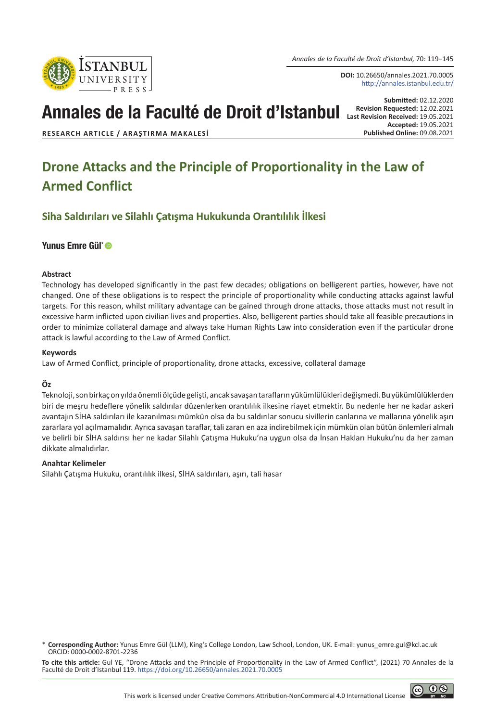*Annales de la Faculté de Droit d'Istanbul,* 70: 119–145

**DOI:** 10.26650/annales.2021.70.0005 http://annales.istanbul.edu.tr/

**Submitted:** 02.12.2020

# Annales de la Faculté de Droit d'Istanbul **Last Requested: 12.02.2021**

**Accepted:** 19.05.2021

**RESEARCH ARTICLE / ARAŞTIRMA MAKALESİ** 

**STANBUL UNIVERSITY** 

## **Drone Attacks and the Principle of Proportionality in the Law of Armed Conflict**

**Siha Saldırıları ve Silahlı Çatışma Hukukunda Orantılılık İlkesi**

#### [Yunus Emre Gül\\*](https://orcid.org/0000-0002-8701-2236)

#### **Abstract**

Technology has developed significantly in the past few decades; obligations on belligerent parties, however, have not changed. One of these obligations is to respect the principle of proportionality while conducting attacks against lawful targets. For this reason, whilst military advantage can be gained through drone attacks, those attacks must not result in excessive harm inflicted upon civilian lives and properties. Also, belligerent parties should take all feasible precautions in order to minimize collateral damage and always take Human Rights Law into consideration even if the particular drone attack is lawful according to the Law of Armed Conflict.

#### **Keywords**

Law of Armed Conflict, principle of proportionality, drone attacks, excessive, collateral damage

#### **Öz**

Teknoloji, son birkaç on yılda önemli ölçüde gelişti, ancak savaşan tarafların yükümlülükleri değişmedi. Bu yükümlülüklerden biri de meşru hedeflere yönelik saldırılar düzenlerken orantılılık ilkesine riayet etmektir. Bu nedenle her ne kadar askeri avantajın SİHA saldırıları ile kazanılması mümkün olsa da bu saldırılar sonucu sivillerin canlarına ve mallarına yönelik aşırı zararlara yol açılmamalıdır. Ayrıca savaşan taraflar, tali zararı en aza indirebilmek için mümkün olan bütün önlemleri almalı ve belirli bir SİHA saldırısı her ne kadar Silahlı Çatışma Hukuku'na uygun olsa da İnsan Hakları Hukuku'nu da her zaman dikkate almalıdırlar.

#### **Anahtar Kelimeler**

Silahlı Çatışma Hukuku, orantılılık ilkesi, SİHA saldırıları, aşırı, tali hasar

**To cite this article:** Gul YE, "Drone Attacks and the Principle of Proportionality in the Law of Armed Conflict", (2021) 70 Annales de la Faculté de Droit d'Istanbul 119. [https://doi.org/10.26650/annales.2021.70.00](https://doi.org/10.26650/annales.2020.70.0000)05

<sup>\*</sup> **Corresponding Author:** Yunus Emre Gül (LLM), King's College London, Law School, London, UK. E-mail: yunus\_emre.gul@kcl.ac.uk ORCID: 0000-0002-8701-2236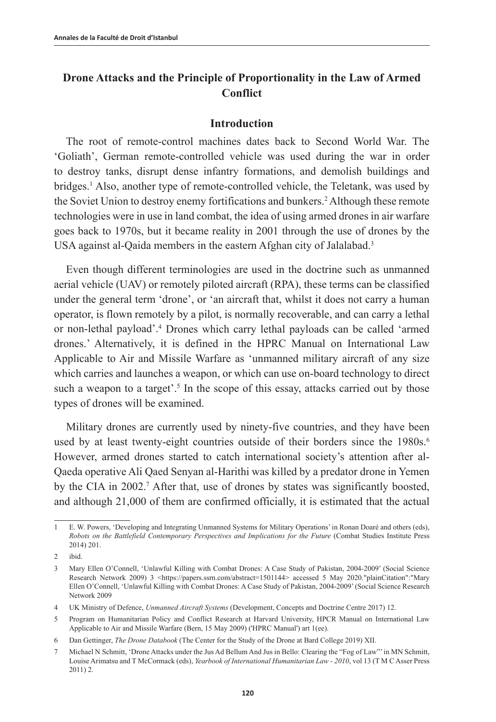## **Drone Attacks and the Principle of Proportionality in the Law of Armed Conflict**

#### **Introduction**

The root of remote-control machines dates back to Second World War. The 'Goliath', German remote-controlled vehicle was used during the war in order to destroy tanks, disrupt dense infantry formations, and demolish buildings and bridges.<sup>1</sup> Also, another type of remote-controlled vehicle, the Teletank, was used by the Soviet Union to destroy enemy fortifications and bunkers.<sup>2</sup> Although these remote technologies were in use in land combat, the idea of using armed drones in air warfare goes back to 1970s, but it became reality in 2001 through the use of drones by the USA against al-Qaida members in the eastern Afghan city of Jalalabad.<sup>3</sup>

Even though different terminologies are used in the doctrine such as unmanned aerial vehicle (UAV) or remotely piloted aircraft (RPA), these terms can be classified under the general term 'drone', or 'an aircraft that, whilst it does not carry a human operator, is flown remotely by a pilot, is normally recoverable, and can carry a lethal or non-lethal payload'.4 Drones which carry lethal payloads can be called 'armed drones.' Alternatively, it is defined in the HPRC Manual on International Law Applicable to Air and Missile Warfare as 'unmanned military aircraft of any size which carries and launches a weapon, or which can use on-board technology to direct such a weapon to a target'.<sup>5</sup> In the scope of this essay, attacks carried out by those types of drones will be examined.

Military drones are currently used by ninety-five countries, and they have been used by at least twenty-eight countries outside of their borders since the 1980s.<sup>6</sup> However, armed drones started to catch international society's attention after al-Qaeda operative Ali Qaed Senyan al-Harithi was killed by a predator drone in Yemen by the CIA in 2002.<sup>7</sup> After that, use of drones by states was significantly boosted, and although 21,000 of them are confirmed officially, it is estimated that the actual

<sup>1</sup> E. W. Powers, 'Developing and Integrating Unmanned Systems for Military Operations' in Ronan Doaré and others (eds), *Robots on the Battlefield Contemporary Perspectives and Implications for the Future* (Combat Studies Institute Press 2014) 201.

<sup>2</sup> ibid.

<sup>3</sup> Mary Ellen O'Connell, 'Unlawful Killing with Combat Drones: A Case Study of Pakistan, 2004-2009' (Social Science Research Network 2009) 3 <https://papers.ssrn.com/abstract=1501144> accessed 5 May 2020."plainCitation":"Mary Ellen O'Connell, 'Unlawful Killing with Combat Drones: A Case Study of Pakistan, 2004-2009' (Social Science Research Network 2009

<sup>4</sup> UK Ministry of Defence, *Unmanned Aircraft Systems* (Development, Concepts and Doctrine Centre 2017) 12.

<sup>5</sup> Program on Humanitarian Policy and Conflict Research at Harvard University, HPCR Manual on International Law Applicable to Air and Missile Warfare (Bern, 15 May 2009) ('HPRC Manual') art 1(ee).

<sup>6</sup> Dan Gettinger, *The Drone Databook* (The Center for the Study of the Drone at Bard College 2019) XII.

<sup>7</sup> Michael N Schmitt, 'Drone Attacks under the Jus Ad Bellum And Jus in Bello: Clearing the "Fog of Law"' in MN Schmitt, Louise Arimatsu and T McCormack (eds), *Yearbook of International Humanitarian Law - 2010*, vol 13 (T M C Asser Press 2011) 2.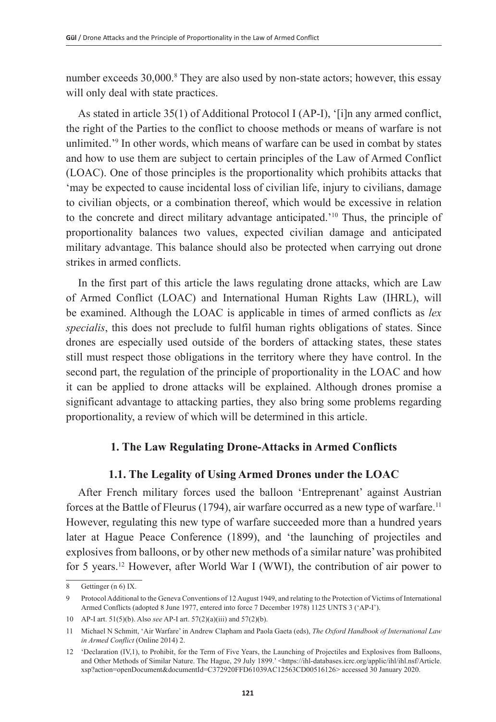number exceeds 30,000.<sup>8</sup> They are also used by non-state actors; however, this essay will only deal with state practices.

As stated in article 35(1) of Additional Protocol I (AP-I), '[i]n any armed conflict, the right of the Parties to the conflict to choose methods or means of warfare is not unlimited.'9 In other words, which means of warfare can be used in combat by states and how to use them are subject to certain principles of the Law of Armed Conflict (LOAC). One of those principles is the proportionality which prohibits attacks that 'may be expected to cause incidental loss of civilian life, injury to civilians, damage to civilian objects, or a combination thereof, which would be excessive in relation to the concrete and direct military advantage anticipated.'10 Thus, the principle of proportionality balances two values, expected civilian damage and anticipated military advantage. This balance should also be protected when carrying out drone strikes in armed conflicts.

In the first part of this article the laws regulating drone attacks, which are Law of Armed Conflict (LOAC) and International Human Rights Law (IHRL), will be examined. Although the LOAC is applicable in times of armed conflicts as *lex specialis*, this does not preclude to fulfil human rights obligations of states. Since drones are especially used outside of the borders of attacking states, these states still must respect those obligations in the territory where they have control. In the second part, the regulation of the principle of proportionality in the LOAC and how it can be applied to drone attacks will be explained. Although drones promise a significant advantage to attacking parties, they also bring some problems regarding proportionality, a review of which will be determined in this article.

## **1. The Law Regulating Drone-Attacks in Armed Conflicts**

## **1.1. The Legality of Using Armed Drones under the LOAC**

After French military forces used the balloon 'Entreprenant' against Austrian forces at the Battle of Fleurus (1794), air warfare occurred as a new type of warfare.<sup>11</sup> However, regulating this new type of warfare succeeded more than a hundred years later at Hague Peace Conference (1899), and 'the launching of projectiles and explosives from balloons, or by other new methods of a similar nature' was prohibited for 5 years.12 However, after World War I (WWI), the contribution of air power to

<sup>8</sup> Gettinger (n 6) IX.

<sup>9</sup> Protocol Additional to the Geneva Conventions of 12 August 1949, and relating to the Protection of Victims of International Armed Conflicts (adopted 8 June 1977, entered into force 7 December 1978) 1125 UNTS 3 ('AP-I').

<sup>10</sup> AP-I art. 51(5)(b). Also *see* AP-I art. 57(2)(a)(iii) and 57(2)(b).

<sup>11</sup> Michael N Schmitt, 'Air Warfare' in Andrew Clapham and Paola Gaeta (eds), *The Oxford Handbook of International Law in Armed Conflict* (Online 2014) 2.

<sup>12</sup> 'Declaration (IV,1), to Prohibit, for the Term of Five Years, the Launching of Projectiles and Explosives from Balloons, and Other Methods of Similar Nature. The Hague, 29 July 1899.' <https://ihl-databases.icrc.org/applic/ihl/ihl.nsf/Article. xsp?action=openDocument&documentId=C372920FFD61039AC12563CD00516126> accessed 30 January 2020.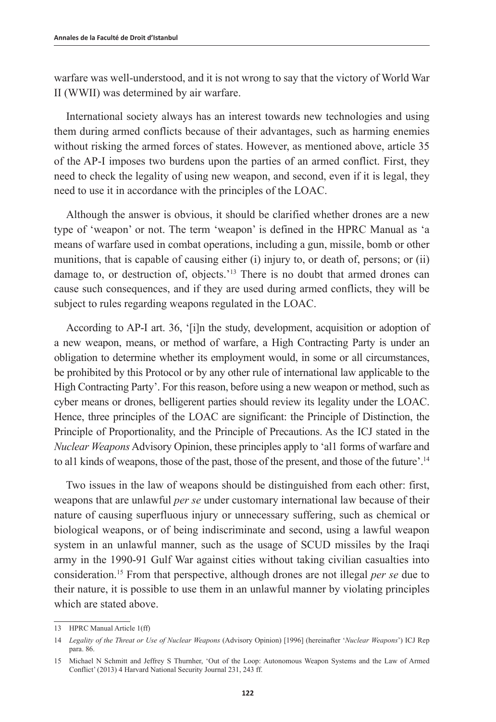warfare was well-understood, and it is not wrong to say that the victory of World War II (WWII) was determined by air warfare.

International society always has an interest towards new technologies and using them during armed conflicts because of their advantages, such as harming enemies without risking the armed forces of states. However, as mentioned above, article 35 of the AP-I imposes two burdens upon the parties of an armed conflict. First, they need to check the legality of using new weapon, and second, even if it is legal, they need to use it in accordance with the principles of the LOAC.

Although the answer is obvious, it should be clarified whether drones are a new type of 'weapon' or not. The term 'weapon' is defined in the HPRC Manual as 'a means of warfare used in combat operations, including a gun, missile, bomb or other munitions, that is capable of causing either (i) injury to, or death of, persons; or (ii) damage to, or destruction of, objects.'<sup>13</sup> There is no doubt that armed drones can cause such consequences, and if they are used during armed conflicts, they will be subject to rules regarding weapons regulated in the LOAC.

According to AP-I art. 36, '[i]n the study, development, acquisition or adoption of a new weapon, means, or method of warfare, a High Contracting Party is under an obligation to determine whether its employment would, in some or all circumstances, be prohibited by this Protocol or by any other rule of international law applicable to the High Contracting Party'. For this reason, before using a new weapon or method, such as cyber means or drones, belligerent parties should review its legality under the LOAC. Hence, three principles of the LOAC are significant: the Principle of Distinction, the Principle of Proportionality, and the Principle of Precautions. As the ICJ stated in the *Nuclear Weapons* Advisory Opinion, these principles apply to 'al1 forms of warfare and to all kinds of weapons, those of the past, those of the present, and those of the future'.<sup>14</sup>

Two issues in the law of weapons should be distinguished from each other: first, weapons that are unlawful *per se* under customary international law because of their nature of causing superfluous injury or unnecessary suffering, such as chemical or biological weapons, or of being indiscriminate and second, using a lawful weapon system in an unlawful manner, such as the usage of SCUD missiles by the Iraqi army in the 1990-91 Gulf War against cities without taking civilian casualties into consideration.15 From that perspective, although drones are not illegal *per se* due to their nature, it is possible to use them in an unlawful manner by violating principles which are stated above.

<sup>13</sup> HPRC Manual Article 1(ff)

<sup>14</sup> *Legality of the Threat or Use of Nuclear Weapons* (Advisory Opinion) [1996] (hereinafter '*Nuclear Weapons*') ICJ Rep para. 86.

<sup>15</sup> Michael N Schmitt and Jeffrey S Thurnher, 'Out of the Loop: Autonomous Weapon Systems and the Law of Armed Conflict' (2013) 4 Harvard National Security Journal 231, 243 ff.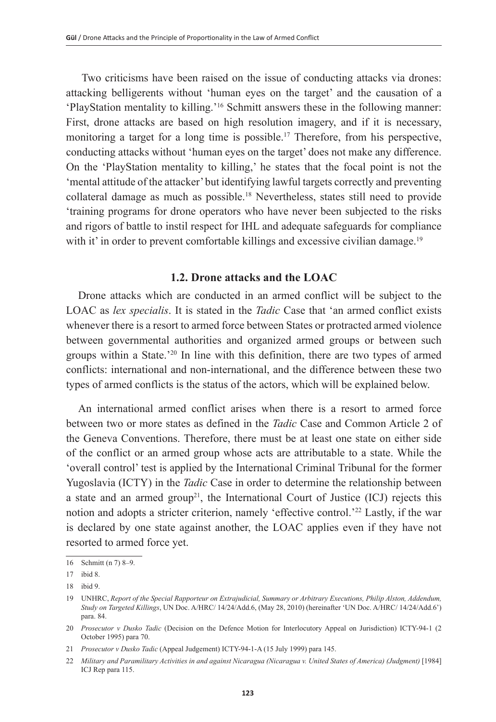Two criticisms have been raised on the issue of conducting attacks via drones: attacking belligerents without 'human eyes on the target' and the causation of a 'PlayStation mentality to killing.'16 Schmitt answers these in the following manner: First, drone attacks are based on high resolution imagery, and if it is necessary, monitoring a target for a long time is possible.<sup>17</sup> Therefore, from his perspective, conducting attacks without 'human eyes on the target' does not make any difference. On the 'PlayStation mentality to killing,' he states that the focal point is not the 'mental attitude of the attacker' but identifying lawful targets correctly and preventing collateral damage as much as possible.18 Nevertheless, states still need to provide 'training programs for drone operators who have never been subjected to the risks and rigors of battle to instil respect for IHL and adequate safeguards for compliance with it' in order to prevent comfortable killings and excessive civilian damage.<sup>19</sup>

## **1.2. Drone attacks and the LOAC**

Drone attacks which are conducted in an armed conflict will be subject to the LOAC as *lex specialis*. It is stated in the *Tadic* Case that 'an armed conflict exists whenever there is a resort to armed force between States or protracted armed violence between governmental authorities and organized armed groups or between such groups within a State.'20 In line with this definition, there are two types of armed conflicts: international and non-international, and the difference between these two types of armed conflicts is the status of the actors, which will be explained below.

An international armed conflict arises when there is a resort to armed force between two or more states as defined in the *Tadic* Case and Common Article 2 of the Geneva Conventions. Therefore, there must be at least one state on either side of the conflict or an armed group whose acts are attributable to a state. While the 'overall control' test is applied by the International Criminal Tribunal for the former Yugoslavia (ICTY) in the *Tadic* Case in order to determine the relationship between a state and an armed group<sup>21</sup>, the International Court of Justice (ICJ) rejects this notion and adopts a stricter criterion, namely 'effective control.'22 Lastly, if the war is declared by one state against another, the LOAC applies even if they have not resorted to armed force yet.

<sup>16</sup> Schmitt (n 7) 8–9.

<sup>17</sup> ibid 8.

<sup>18</sup> ibid 9.

<sup>19</sup> UNHRC, *Report of the Special Rapporteur on Extrajudicial, Summary or Arbitrary Executions, Philip Alston, Addendum, Study on Targeted Killings*, UN Doc. A/HRC/ 14/24/Add.6, (May 28, 2010) (hereinafter 'UN Doc. A/HRC/ 14/24/Add.6') para. 84.

<sup>20</sup> *Prosecutor v Dusko Tadic* (Decision on the Defence Motion for Interlocutory Appeal on Jurisdiction) ICTY-94-1 (2 October 1995) para 70.

<sup>21</sup> *Prosecutor v Dusko Tadic* (Appeal Judgement) ICTY-94-1-A (15 July 1999) para 145.

<sup>22</sup> *Military and Paramilitary Activities in and against Nicaragua (Nicaragua v. United States of America) (Judgment)* [1984] ICJ Rep para 115.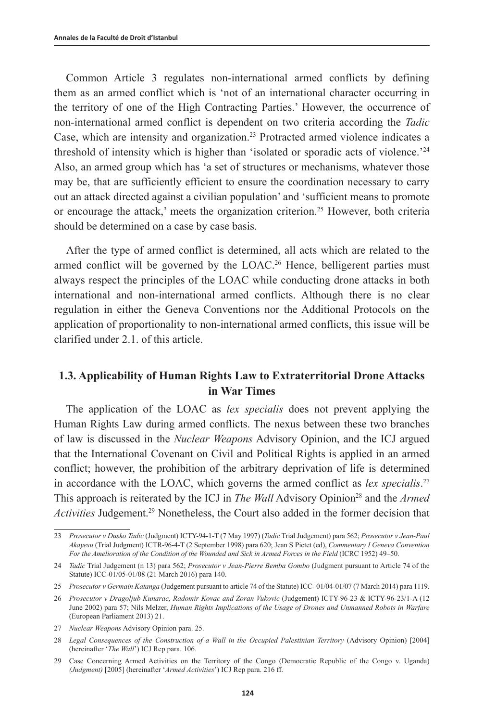Common Article 3 regulates non-international armed conflicts by defining them as an armed conflict which is 'not of an international character occurring in the territory of one of the High Contracting Parties.' However, the occurrence of non-international armed conflict is dependent on two criteria according the *Tadic* Case, which are intensity and organization.23 Protracted armed violence indicates a threshold of intensity which is higher than 'isolated or sporadic acts of violence.'24 Also, an armed group which has 'a set of structures or mechanisms, whatever those may be, that are sufficiently efficient to ensure the coordination necessary to carry out an attack directed against a civilian population' and 'sufficient means to promote or encourage the attack,' meets the organization criterion.25 However, both criteria should be determined on a case by case basis.

After the type of armed conflict is determined, all acts which are related to the armed conflict will be governed by the LOAC.<sup>26</sup> Hence, belligerent parties must always respect the principles of the LOAC while conducting drone attacks in both international and non-international armed conflicts. Although there is no clear regulation in either the Geneva Conventions nor the Additional Protocols on the application of proportionality to non-international armed conflicts, this issue will be clarified under 2.1. of this article.

## **1.3. Applicability of Human Rights Law to Extraterritorial Drone Attacks in War Times**

The application of the LOAC as *lex specialis* does not prevent applying the Human Rights Law during armed conflicts. The nexus between these two branches of law is discussed in the *Nuclear Weapons* Advisory Opinion, and the ICJ argued that the International Covenant on Civil and Political Rights is applied in an armed conflict; however, the prohibition of the arbitrary deprivation of life is determined in accordance with the LOAC, which governs the armed conflict as *lex specialis*. 27 This approach is reiterated by the ICJ in *The Wall* Advisory Opinion<sup>28</sup> and the *Armed Activities* Judgement.29 Nonetheless, the Court also added in the former decision that

27 *Nuclear Weapons* Advisory Opinion para. 25.

<sup>23</sup> *Prosecutor v Dusko Tadic* (Judgment) ICTY-94-1-T (7 May 1997) (*Tadic* Trial Judgement) para 562; *Prosecutor v Jean-Paul Akayesu* (Trial Judgment) ICTR-96-4-T (2 September 1998) para 620; Jean S Pictet (ed), *Commentary I Geneva Convention For the Amelioration of the Condition of the Wounded and Sick in Armed Forces in the Field* (ICRC 1952) 49–50.

<sup>24</sup> *Tadic* Trial Judgement (n 13) para 562; *Prosecutor v Jean-Pierre Bemba Gombo* (Judgment pursuant to Article 74 of the Statute) ICC-01/05-01/08 (21 March 2016) para 140.

<sup>25</sup> *Prosecutor v Germain Katanga* (Judgement pursuant to article 74 of the Statute) ICC- 01/04-01/07 (7 March 2014) para 1119.

<sup>26</sup> *Prosecutor v Dragoljub Kunarac, Radomir Kovac and Zoran Vukovic* (Judgement) ICTY-96-23 & ICTY-96-23/1-A (12 June 2002) para 57; Nils Melzer, *Human Rights Implications of the Usage of Drones and Unmanned Robots in Warfare* (European Parliament 2013) 21.

<sup>28</sup> *Legal Consequences of the Construction of a Wall in the Occupied Palestinian Territory* (Advisory Opinion) [2004] (hereinafter '*The Wall*') ICJ Rep para. 106.

<sup>29</sup> Case Concerning Armed Activities on the Territory of the Congo (Democratic Republic of the Congo v. Uganda) *(Judgment)* [2005] (hereinafter '*Armed Activities*') ICJ Rep para. 216 ff.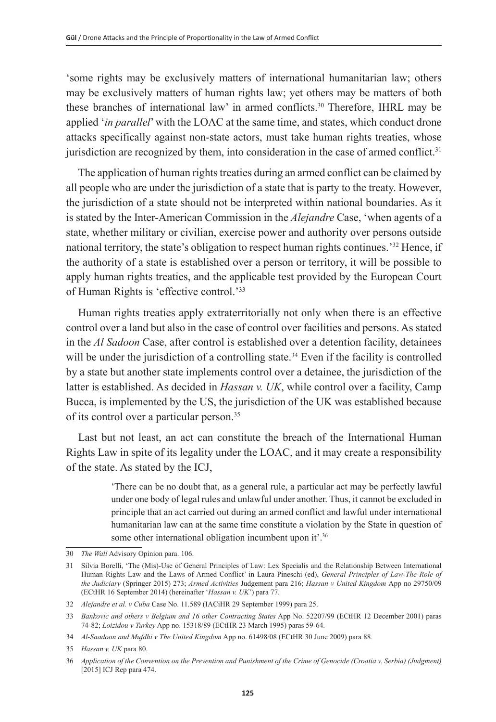'some rights may be exclusively matters of international humanitarian law; others may be exclusively matters of human rights law; yet others may be matters of both these branches of international law' in armed conflicts.30 Therefore, IHRL may be applied '*in parallel*' with the LOAC at the same time, and states, which conduct drone attacks specifically against non-state actors, must take human rights treaties, whose jurisdiction are recognized by them, into consideration in the case of armed conflict.<sup>31</sup>

The application of human rights treaties during an armed conflict can be claimed by all people who are under the jurisdiction of a state that is party to the treaty. However, the jurisdiction of a state should not be interpreted within national boundaries. As it is stated by the Inter-American Commission in the *Alejandre* Case, 'when agents of a state, whether military or civilian, exercise power and authority over persons outside national territory, the state's obligation to respect human rights continues.'32 Hence, if the authority of a state is established over a person or territory, it will be possible to apply human rights treaties, and the applicable test provided by the European Court of Human Rights is 'effective control.'33

Human rights treaties apply extraterritorially not only when there is an effective control over a land but also in the case of control over facilities and persons. As stated in the *Al Sadoon* Case, after control is established over a detention facility, detainees will be under the jurisdiction of a controlling state.<sup>34</sup> Even if the facility is controlled by a state but another state implements control over a detainee, the jurisdiction of the latter is established. As decided in *Hassan v. UK*, while control over a facility, Camp Bucca, is implemented by the US, the jurisdiction of the UK was established because of its control over a particular person.<sup>35</sup>

Last but not least, an act can constitute the breach of the International Human Rights Law in spite of its legality under the LOAC, and it may create a responsibility of the state. As stated by the ICJ,

> 'There can be no doubt that, as a general rule, a particular act may be perfectly lawful under one body of legal rules and unlawful under another. Thus, it cannot be excluded in principle that an act carried out during an armed conflict and lawful under international humanitarian law can at the same time constitute a violation by the State in question of some other international obligation incumbent upon it'.<sup>36</sup>

<sup>30</sup> *The Wall* Advisory Opinion para. 106.

<sup>31</sup> Silvia Borelli, 'The (Mis)-Use of General Principles of Law: Lex Specialis and the Relationship Between International Human Rights Law and the Laws of Armed Conflict' in Laura Pineschi (ed), *General Principles of Law-The Role of the Judiciary* (Springer 2015) 273; *Armed Activities* Judgement para 216; *Hassan v United Kingdom* App no 29750/09 (ECtHR 16 September 2014) (hereinafter '*Hassan v. UK*') para 77.

<sup>32</sup> *Alejandre et al. v Cuba* Case No. 11.589 (IACiHR 29 September 1999) para 25.

<sup>33</sup> *Bankovic and others v Belgium and 16 other Contracting States* App No. 52207/99 (ECtHR 12 December 2001) paras 74-82; *Loizidou v Turkey* App no. 15318/89 (ECtHR 23 March 1995) paras 59-64.

<sup>34</sup> *Al-Saadoon and Mufdhi v The United Kingdom* App no. 61498/08 (ECtHR 30 June 2009) para 88.

<sup>35</sup> *Hassan v. UK* para 80.

<sup>36</sup> *Application of the Convention on the Prevention and Punishment of the Crime of Genocide (Croatia v. Serbia) (Judgment)*  [2015] ICJ Rep para 474.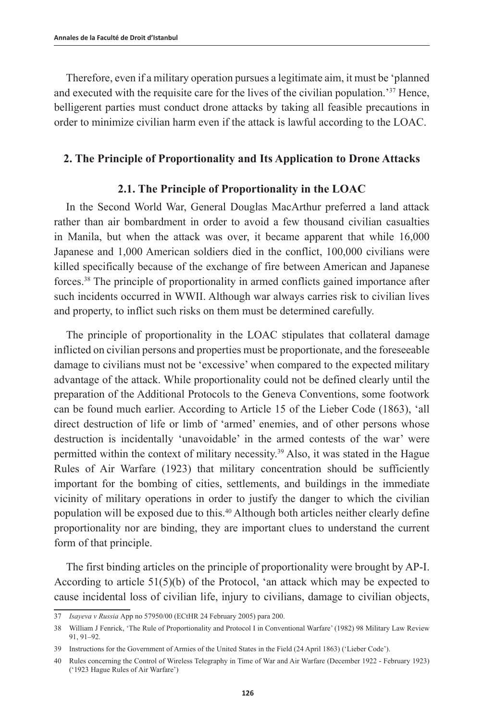Therefore, even if a military operation pursues a legitimate aim, it must be 'planned and executed with the requisite care for the lives of the civilian population.'37 Hence, belligerent parties must conduct drone attacks by taking all feasible precautions in order to minimize civilian harm even if the attack is lawful according to the LOAC.

#### **2. The Principle of Proportionality and Its Application to Drone Attacks**

#### **2.1. The Principle of Proportionality in the LOAC**

In the Second World War, General Douglas MacArthur preferred a land attack rather than air bombardment in order to avoid a few thousand civilian casualties in Manila, but when the attack was over, it became apparent that while 16,000 Japanese and 1,000 American soldiers died in the conflict, 100,000 civilians were killed specifically because of the exchange of fire between American and Japanese forces.38 The principle of proportionality in armed conflicts gained importance after such incidents occurred in WWII. Although war always carries risk to civilian lives and property, to inflict such risks on them must be determined carefully.

The principle of proportionality in the LOAC stipulates that collateral damage inflicted on civilian persons and properties must be proportionate, and the foreseeable damage to civilians must not be 'excessive' when compared to the expected military advantage of the attack. While proportionality could not be defined clearly until the preparation of the Additional Protocols to the Geneva Conventions, some footwork can be found much earlier. According to Article 15 of the Lieber Code (1863), 'all direct destruction of life or limb of 'armed' enemies, and of other persons whose destruction is incidentally 'unavoidable' in the armed contests of the war' were permitted within the context of military necessity.39 Also, it was stated in the Hague Rules of Air Warfare (1923) that military concentration should be sufficiently important for the bombing of cities, settlements, and buildings in the immediate vicinity of military operations in order to justify the danger to which the civilian population will be exposed due to this.40 Although both articles neither clearly define proportionality nor are binding, they are important clues to understand the current form of that principle.

The first binding articles on the principle of proportionality were brought by AP-I. According to article  $51(5)(b)$  of the Protocol, 'an attack which may be expected to cause incidental loss of civilian life, injury to civilians, damage to civilian objects,

<sup>37</sup> *Isayeva v Russia* App no 57950/00 (ECtHR 24 February 2005) para 200.

<sup>38</sup> William J Fenrick, 'The Rule of Proportionality and Protocol I in Conventional Warfare' (1982) 98 Military Law Review 91, 91–92.

<sup>39</sup> Instructions for the Government of Armies of the United States in the Field (24 April 1863) ('Lieber Code').

<sup>40</sup> Rules concerning the Control of Wireless Telegraphy in Time of War and Air Warfare (December 1922 - February 1923) ('1923 Hague Rules of Air Warfare')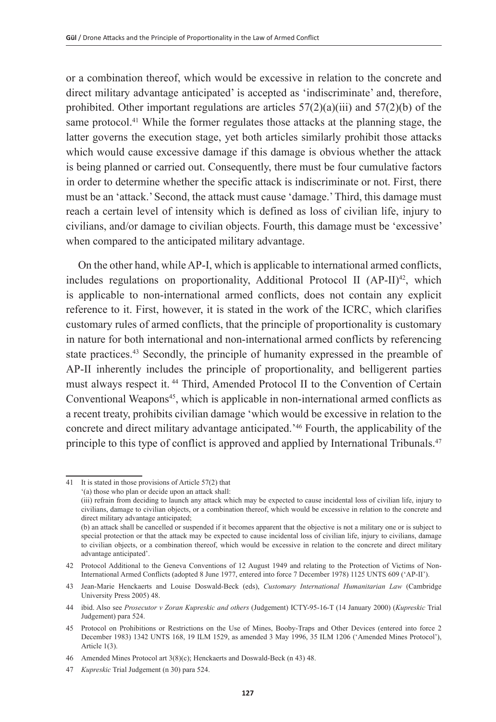or a combination thereof, which would be excessive in relation to the concrete and direct military advantage anticipated' is accepted as 'indiscriminate' and, therefore, prohibited. Other important regulations are articles  $57(2)(a)(iii)$  and  $57(2)(b)$  of the same protocol.<sup>41</sup> While the former regulates those attacks at the planning stage, the latter governs the execution stage, yet both articles similarly prohibit those attacks which would cause excessive damage if this damage is obvious whether the attack is being planned or carried out. Consequently, there must be four cumulative factors in order to determine whether the specific attack is indiscriminate or not. First, there must be an 'attack.' Second, the attack must cause 'damage.' Third, this damage must reach a certain level of intensity which is defined as loss of civilian life, injury to civilians, and/or damage to civilian objects. Fourth, this damage must be 'excessive' when compared to the anticipated military advantage.

On the other hand, while AP-I, which is applicable to international armed conflicts, includes regulations on proportionality, Additional Protocol II  $(AP-II)^{42}$ , which is applicable to non-international armed conflicts, does not contain any explicit reference to it. First, however, it is stated in the work of the ICRC, which clarifies customary rules of armed conflicts, that the principle of proportionality is customary in nature for both international and non-international armed conflicts by referencing state practices.43 Secondly, the principle of humanity expressed in the preamble of AP-II inherently includes the principle of proportionality, and belligerent parties must always respect it. 44 Third, Amended Protocol II to the Convention of Certain Conventional Weapons<sup>45</sup>, which is applicable in non-international armed conflicts as a recent treaty, prohibits civilian damage 'which would be excessive in relation to the concrete and direct military advantage anticipated.'46 Fourth, the applicability of the principle to this type of conflict is approved and applied by International Tribunals.<sup>47</sup>

<sup>41</sup> It is stated in those provisions of Article 57(2) that '(a) those who plan or decide upon an attack shall: (iii) refrain from deciding to launch any attack which may be expected to cause incidental loss of civilian life, injury to civilians, damage to civilian objects, or a combination thereof, which would be excessive in relation to the concrete and direct military advantage anticipated; (b) an attack shall be cancelled or suspended if it becomes apparent that the objective is not a military one or is subject to special protection or that the attack may be expected to cause incidental loss of civilian life, injury to civilians, damage

to civilian objects, or a combination thereof, which would be excessive in relation to the concrete and direct military advantage anticipated'.

<sup>42</sup> Protocol Additional to the Geneva Conventions of 12 August 1949 and relating to the Protection of Victims of Non-International Armed Conflicts (adopted 8 June 1977, entered into force 7 December 1978) 1125 UNTS 609 ('AP-II').

<sup>43</sup> Jean-Marie Henckaerts and Louise Doswald-Beck (eds), *Customary International Humanitarian Law* (Cambridge University Press 2005) 48.

<sup>44</sup> ibid. Also see *Prosecutor v Zoran Kupreskic and others* (Judgement) ICTY-95-16-T (14 January 2000) (*Kupreskic* Trial Judgement) para 524.

<sup>45</sup> Protocol on Prohibitions or Restrictions on the Use of Mines, Booby-Traps and Other Devices (entered into force 2 December 1983) 1342 UNTS 168, 19 ILM 1529, as amended 3 May 1996, 35 ILM 1206 ('Amended Mines Protocol'), Article 1(3).

<sup>46</sup> Amended Mines Protocol art 3(8)(c); Henckaerts and Doswald-Beck (n 43) 48.

<sup>47</sup> *Kupreskic* Trial Judgement (n 30) para 524.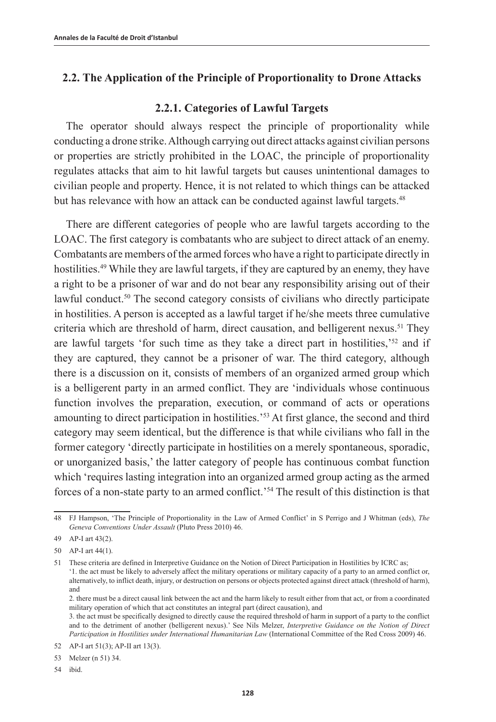## **2.2. The Application of the Principle of Proportionality to Drone Attacks**

## **2.2.1. Categories of Lawful Targets**

The operator should always respect the principle of proportionality while conducting a drone strike. Although carrying out direct attacks against civilian persons or properties are strictly prohibited in the LOAC, the principle of proportionality regulates attacks that aim to hit lawful targets but causes unintentional damages to civilian people and property. Hence, it is not related to which things can be attacked but has relevance with how an attack can be conducted against lawful targets.<sup>48</sup>

There are different categories of people who are lawful targets according to the LOAC. The first category is combatants who are subject to direct attack of an enemy. Combatants are members of the armed forces who have a right to participate directly in hostilities.<sup>49</sup> While they are lawful targets, if they are captured by an enemy, they have a right to be a prisoner of war and do not bear any responsibility arising out of their lawful conduct.<sup>50</sup> The second category consists of civilians who directly participate in hostilities. A person is accepted as a lawful target if he/she meets three cumulative criteria which are threshold of harm, direct causation, and belligerent nexus.<sup>51</sup> They are lawful targets 'for such time as they take a direct part in hostilities,'52 and if they are captured, they cannot be a prisoner of war. The third category, although there is a discussion on it, consists of members of an organized armed group which is a belligerent party in an armed conflict. They are 'individuals whose continuous function involves the preparation, execution, or command of acts or operations amounting to direct participation in hostilities.'53 At first glance, the second and third category may seem identical, but the difference is that while civilians who fall in the former category 'directly participate in hostilities on a merely spontaneous, sporadic, or unorganized basis,' the latter category of people has continuous combat function which 'requires lasting integration into an organized armed group acting as the armed forces of a non-state party to an armed conflict.'54 The result of this distinction is that

2. there must be a direct causal link between the act and the harm likely to result either from that act, or from a coordinated military operation of which that act constitutes an integral part (direct causation), and

<sup>48</sup> FJ Hampson, 'The Principle of Proportionality in the Law of Armed Conflict' in S Perrigo and J Whitman (eds), *The Geneva Conventions Under Assault* (Pluto Press 2010) 46.

<sup>49</sup> AP-I art 43(2).

<sup>50</sup> AP-I art 44(1).

<sup>51</sup> These criteria are defined in Interpretive Guidance on the Notion of Direct Participation in Hostilities by ICRC as; '1. the act must be likely to adversely affect the military operations or military capacity of a party to an armed conflict or, alternatively, to inflict death, injury, or destruction on persons or objects protected against direct attack (threshold of harm), and

<sup>3.</sup> the act must be specifically designed to directly cause the required threshold of harm in support of a party to the conflict and to the detriment of another (belligerent nexus).' See Nils Melzer, *Interpretive Guidance on the Notion of Direct Participation in Hostilities under International Humanitarian Law* (International Committee of the Red Cross 2009) 46.

<sup>52</sup> AP-I art 51(3); AP-II art 13(3).

<sup>53</sup> Melzer (n 51) 34.

<sup>54</sup> ibid.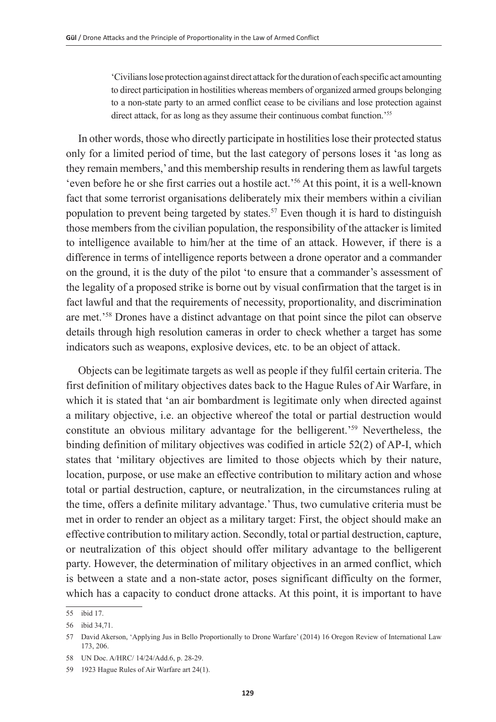'Civilians lose protection against direct attack for the duration of each specific act amounting to direct participation in hostilities whereas members of organized armed groups belonging to a non-state party to an armed conflict cease to be civilians and lose protection against direct attack, for as long as they assume their continuous combat function.<sup>255</sup>

In other words, those who directly participate in hostilities lose their protected status only for a limited period of time, but the last category of persons loses it 'as long as they remain members,' and this membership results in rendering them as lawful targets 'even before he or she first carries out a hostile act.'56 At this point, it is a well-known fact that some terrorist organisations deliberately mix their members within a civilian population to prevent being targeted by states.<sup>57</sup> Even though it is hard to distinguish those members from the civilian population, the responsibility of the attacker is limited to intelligence available to him/her at the time of an attack. However, if there is a difference in terms of intelligence reports between a drone operator and a commander on the ground, it is the duty of the pilot 'to ensure that a commander's assessment of the legality of a proposed strike is borne out by visual confirmation that the target is in fact lawful and that the requirements of necessity, proportionality, and discrimination are met.'58 Drones have a distinct advantage on that point since the pilot can observe details through high resolution cameras in order to check whether a target has some indicators such as weapons, explosive devices, etc. to be an object of attack.

Objects can be legitimate targets as well as people if they fulfil certain criteria. The first definition of military objectives dates back to the Hague Rules of Air Warfare, in which it is stated that 'an air bombardment is legitimate only when directed against a military objective, i.e. an objective whereof the total or partial destruction would constitute an obvious military advantage for the belligerent.'59 Nevertheless, the binding definition of military objectives was codified in article 52(2) of AP-I, which states that 'military objectives are limited to those objects which by their nature, location, purpose, or use make an effective contribution to military action and whose total or partial destruction, capture, or neutralization, in the circumstances ruling at the time, offers a definite military advantage.' Thus, two cumulative criteria must be met in order to render an object as a military target: First, the object should make an effective contribution to military action. Secondly, total or partial destruction, capture, or neutralization of this object should offer military advantage to the belligerent party. However, the determination of military objectives in an armed conflict, which is between a state and a non-state actor, poses significant difficulty on the former, which has a capacity to conduct drone attacks. At this point, it is important to have

<sup>55</sup> ibid 17.

<sup>56</sup> ibid 34,71.

<sup>57</sup> David Akerson, 'Applying Jus in Bello Proportionally to Drone Warfare' (2014) 16 Oregon Review of International Law 173, 206.

<sup>58</sup> UN Doc. A/HRC/ 14/24/Add.6, p. 28-29.

<sup>59</sup> 1923 Hague Rules of Air Warfare art 24(1).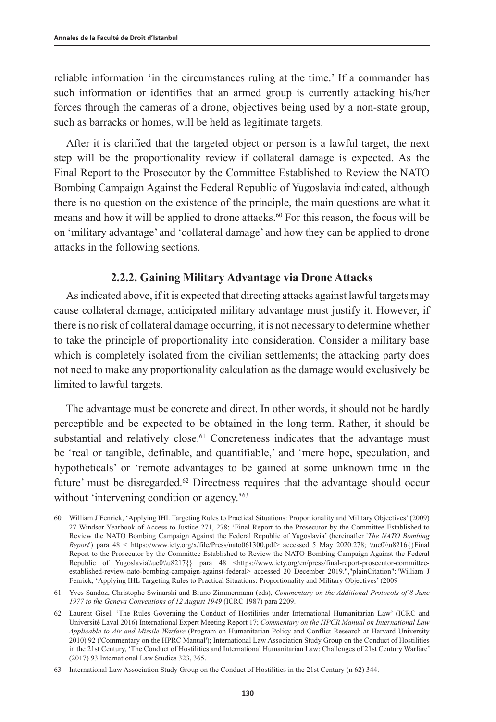reliable information 'in the circumstances ruling at the time.' If a commander has such information or identifies that an armed group is currently attacking his/her forces through the cameras of a drone, objectives being used by a non-state group, such as barracks or homes, will be held as legitimate targets.

After it is clarified that the targeted object or person is a lawful target, the next step will be the proportionality review if collateral damage is expected. As the Final Report to the Prosecutor by the Committee Established to Review the NATO Bombing Campaign Against the Federal Republic of Yugoslavia indicated, although there is no question on the existence of the principle, the main questions are what it means and how it will be applied to drone attacks.<sup>60</sup> For this reason, the focus will be on 'military advantage' and 'collateral damage' and how they can be applied to drone attacks in the following sections.

#### **2.2.2. Gaining Military Advantage via Drone Attacks**

As indicated above, if it is expected that directing attacks against lawful targets may cause collateral damage, anticipated military advantage must justify it. However, if there is no risk of collateral damage occurring, it is not necessary to determine whether to take the principle of proportionality into consideration. Consider a military base which is completely isolated from the civilian settlements; the attacking party does not need to make any proportionality calculation as the damage would exclusively be limited to lawful targets.

The advantage must be concrete and direct. In other words, it should not be hardly perceptible and be expected to be obtained in the long term. Rather, it should be substantial and relatively close.<sup>61</sup> Concreteness indicates that the advantage must be 'real or tangible, definable, and quantifiable,' and 'mere hope, speculation, and hypotheticals' or 'remote advantages to be gained at some unknown time in the future' must be disregarded.<sup>62</sup> Directness requires that the advantage should occur without 'intervening condition or agency.'<sup>63</sup>

<sup>60</sup> William J Fenrick, 'Applying IHL Targeting Rules to Practical Situations: Proportionality and Military Objectives' (2009) 27 Windsor Yearbook of Access to Justice 271, 278; 'Final Report to the Prosecutor by the Committee Established to Review the NATO Bombing Campaign Against the Federal Republic of Yugoslavia' (hereinafter '*The NATO Bombing Report*') para 48 < https://www.icty.org/x/file/Press/nato061300.pdf> accessed 5 May 2020.278; \\uc0\\u8216{}Final Report to the Prosecutor by the Committee Established to Review the NATO Bombing Campaign Against the Federal Republic of Yugoslavia\\uc0\\u8217{} para 48 <https://www.icty.org/en/press/final-report-prosecutor-committeeestablished-review-nato-bombing-campaign-against-federal> accessed 20 December 2019.","plainCitation":"William J Fenrick, 'Applying IHL Targeting Rules to Practical Situations: Proportionality and Military Objectives' (2009

<sup>61</sup> Yves Sandoz, Christophe Swinarski and Bruno Zimmermann (eds), *Commentary on the Additional Protocols of 8 June 1977 to the Geneva Conventions of 12 August 1949* (ICRC 1987) para 2209.

<sup>62</sup> Laurent Gisel, 'The Rules Governing the Conduct of Hostilities under International Humanitarian Law' (ICRC and Université Laval 2016) International Expert Meeting Report 17; *Commentary on the HPCR Manual on International Law Applicable to Air and Missile Warfare* (Program on Humanitarian Policy and Conflict Research at Harvard University 2010) 92 ('Commentary on the HPRC Manual'); International Law Association Study Group on the Conduct of Hostilities in the 21st Century, 'The Conduct of Hostilities and International Humanitarian Law: Challenges of 21st Century Warfare' (2017) 93 International Law Studies 323, 365.

<sup>63</sup> International Law Association Study Group on the Conduct of Hostilities in the 21st Century (n 62) 344.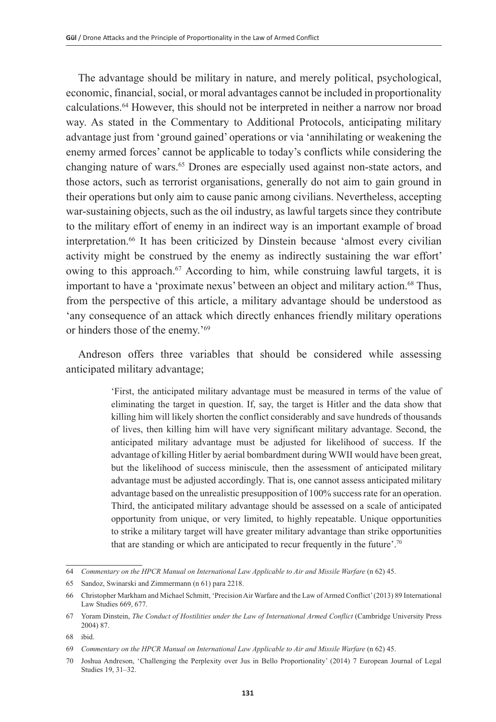The advantage should be military in nature, and merely political, psychological, economic, financial, social, or moral advantages cannot be included in proportionality calculations.64 However, this should not be interpreted in neither a narrow nor broad way. As stated in the Commentary to Additional Protocols, anticipating military advantage just from 'ground gained' operations or via 'annihilating or weakening the enemy armed forces' cannot be applicable to today's conflicts while considering the changing nature of wars.<sup>65</sup> Drones are especially used against non-state actors, and those actors, such as terrorist organisations, generally do not aim to gain ground in their operations but only aim to cause panic among civilians. Nevertheless, accepting war-sustaining objects, such as the oil industry, as lawful targets since they contribute to the military effort of enemy in an indirect way is an important example of broad interpretation.<sup>66</sup> It has been criticized by Dinstein because 'almost every civilian activity might be construed by the enemy as indirectly sustaining the war effort' owing to this approach.<sup>67</sup> According to him, while construing lawful targets, it is important to have a 'proximate nexus' between an object and military action.<sup>68</sup> Thus, from the perspective of this article, a military advantage should be understood as 'any consequence of an attack which directly enhances friendly military operations or hinders those of the enemy.'69

Andreson offers three variables that should be considered while assessing anticipated military advantage;

> 'First, the anticipated military advantage must be measured in terms of the value of eliminating the target in question. If, say, the target is Hitler and the data show that killing him will likely shorten the conflict considerably and save hundreds of thousands of lives, then killing him will have very significant military advantage. Second, the anticipated military advantage must be adjusted for likelihood of success. If the advantage of killing Hitler by aerial bombardment during WWII would have been great, but the likelihood of success miniscule, then the assessment of anticipated military advantage must be adjusted accordingly. That is, one cannot assess anticipated military advantage based on the unrealistic presupposition of 100% success rate for an operation. Third, the anticipated military advantage should be assessed on a scale of anticipated opportunity from unique, or very limited, to highly repeatable. Unique opportunities to strike a military target will have greater military advantage than strike opportunities that are standing or which are anticipated to recur frequently in the future'.70

<sup>64</sup> *Commentary on the HPCR Manual on International Law Applicable to Air and Missile Warfare* (n 62) 45.

<sup>65</sup> Sandoz, Swinarski and Zimmermann (n 61) para 2218.

<sup>66</sup> Christopher Markham and Michael Schmitt, 'Precision Air Warfare and the Law of Armed Conflict' (2013) 89 International Law Studies 669, 677.

<sup>67</sup> Yoram Dinstein, *The Conduct of Hostilities under the Law of International Armed Conflict* (Cambridge University Press 2004) 87.

<sup>68</sup> ibid.

<sup>69</sup> *Commentary on the HPCR Manual on International Law Applicable to Air and Missile Warfare* (n 62) 45.

<sup>70</sup> Joshua Andreson, 'Challenging the Perplexity over Jus in Bello Proportionality' (2014) 7 European Journal of Legal Studies 19, 31–32.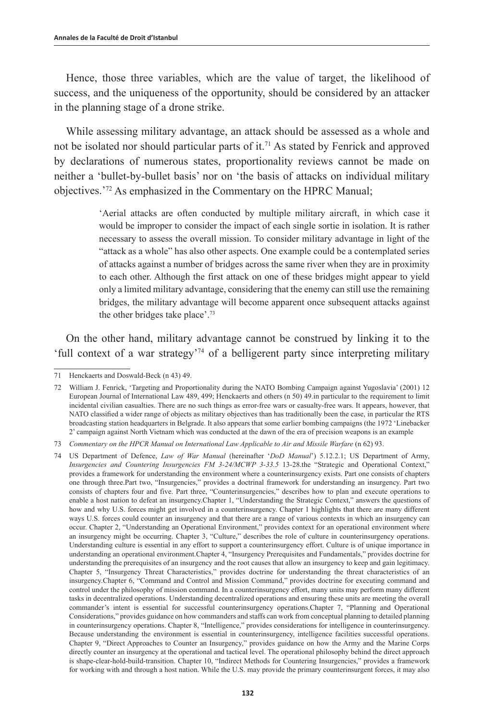Hence, those three variables, which are the value of target, the likelihood of success, and the uniqueness of the opportunity, should be considered by an attacker in the planning stage of a drone strike.

While assessing military advantage, an attack should be assessed as a whole and not be isolated nor should particular parts of it.<sup>71</sup> As stated by Fenrick and approved by declarations of numerous states, proportionality reviews cannot be made on neither a 'bullet-by-bullet basis' nor on 'the basis of attacks on individual military objectives.'72 As emphasized in the Commentary on the HPRC Manual;

> 'Aerial attacks are often conducted by multiple military aircraft, in which case it would be improper to consider the impact of each single sortie in isolation. It is rather necessary to assess the overall mission. To consider military advantage in light of the "attack as a whole" has also other aspects. One example could be a contemplated series of attacks against a number of bridges across the same river when they are in proximity to each other. Although the first attack on one of these bridges might appear to yield only a limited military advantage, considering that the enemy can still use the remaining bridges, the military advantage will become apparent once subsequent attacks against the other bridges take place'.73

On the other hand, military advantage cannot be construed by linking it to the 'full context of a war strategy'74 of a belligerent party since interpreting military

<sup>71</sup> Henckaerts and Doswald-Beck (n 43) 49.

<sup>72</sup> William J. Fenrick, 'Targeting and Proportionality during the NATO Bombing Campaign against Yugoslavia' (2001) 12 European Journal of International Law 489, 499; Henckaerts and others (n 50) 49.in particular to the requirement to limit incidental civilian casualties. There are no such things as error-free wars or casualty-free wars. It appears, however, that NATO classified a wider range of objects as military objectives than has traditionally been the case, in particular the RTS broadcasting station headquarters in Belgrade. It also appears that some earlier bombing campaigns (the 1972 'Linebacker 2' campaign against North Vietnam which was conducted at the dawn of the era of precision weapons is an example

<sup>73</sup> Commentary on the HPCR Manual on International Law Applicable to Air and Missile Warfare (n 62) 93.

<sup>74</sup> US Department of Defence, *Law of War Manual* (hereinafter '*DoD Manual*') 5.12.2.1; US Department of Army, *Insurgencies and Countering Insurgencies FM 3-24/MCWP 3-33.5* 13-28.the "Strategic and Operational Context," provides a framework for understanding the environment where a counterinsurgency exists. Part one consists of chapters one through three.Part two, "Insurgencies," provides a doctrinal framework for understanding an insurgency. Part two consists of chapters four and five. Part three, "Counterinsurgencies," describes how to plan and execute operations to enable a host nation to defeat an insurgency.Chapter 1, "Understanding the Strategic Context," answers the questions of how and why U.S. forces might get involved in a counterinsurgency. Chapter 1 highlights that there are many different ways U.S. forces could counter an insurgency and that there are a range of various contexts in which an insurgency can occur. Chapter 2, "Understanding an Operational Environment," provides context for an operational environment where an insurgency might be occurring. Chapter 3, "Culture," describes the role of culture in counterinsurgency operations. Understanding culture is essential in any effort to support a counterinsurgency effort. Culture is of unique importance in understanding an operational environment.Chapter 4, "Insurgency Prerequisites and Fundamentals," provides doctrine for understanding the prerequisites of an insurgency and the root causes that allow an insurgency to keep and gain legitimacy. Chapter 5, "Insurgency Threat Characteristics," provides doctrine for understanding the threat characteristics of an insurgency.Chapter 6, "Command and Control and Mission Command," provides doctrine for executing command and control under the philosophy of mission command. In a counterinsurgency effort, many units may perform many different tasks in decentralized operations. Understanding decentralized operations and ensuring these units are meeting the overall commander's intent is essential for successful counterinsurgency operations.Chapter 7, "Planning and Operational Considerations," provides guidance on how commanders and staffs can work from conceptual planning to detailed planning in counterinsurgency operations. Chapter 8, "Intelligence," provides considerations for intelligence in counterinsurgency. Because understanding the environment is essential in counterinsurgency, intelligence facilities successful operations. Chapter 9, "Direct Approaches to Counter an Insurgency," provides guidance on how the Army and the Marine Corps directly counter an insurgency at the operational and tactical level. The operational philosophy behind the direct approach is shape-clear-hold-build-transition. Chapter 10, "Indirect Methods for Countering Insurgencies," provides a framework for working with and through a host nation. While the U.S. may provide the primary counterinsurgent forces, it may also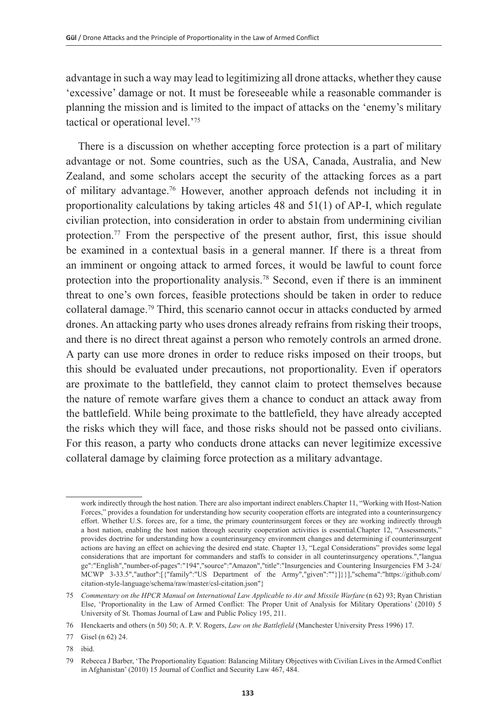advantage in such a way may lead to legitimizing all drone attacks, whether they cause 'excessive' damage or not. It must be foreseeable while a reasonable commander is planning the mission and is limited to the impact of attacks on the 'enemy's military tactical or operational level.'75

There is a discussion on whether accepting force protection is a part of military advantage or not. Some countries, such as the USA, Canada, Australia, and New Zealand, and some scholars accept the security of the attacking forces as a part of military advantage.76 However, another approach defends not including it in proportionality calculations by taking articles 48 and 51(1) of AP-I, which regulate civilian protection, into consideration in order to abstain from undermining civilian protection.77 From the perspective of the present author, first, this issue should be examined in a contextual basis in a general manner. If there is a threat from an imminent or ongoing attack to armed forces, it would be lawful to count force protection into the proportionality analysis.78 Second, even if there is an imminent threat to one's own forces, feasible protections should be taken in order to reduce collateral damage.79 Third, this scenario cannot occur in attacks conducted by armed drones. An attacking party who uses drones already refrains from risking their troops, and there is no direct threat against a person who remotely controls an armed drone. A party can use more drones in order to reduce risks imposed on their troops, but this should be evaluated under precautions, not proportionality. Even if operators are proximate to the battlefield, they cannot claim to protect themselves because the nature of remote warfare gives them a chance to conduct an attack away from the battlefield. While being proximate to the battlefield, they have already accepted the risks which they will face, and those risks should not be passed onto civilians. For this reason, a party who conducts drone attacks can never legitimize excessive collateral damage by claiming force protection as a military advantage.

work indirectly through the host nation. There are also important indirect enablers.Chapter 11, "Working with Host-Nation Forces," provides a foundation for understanding how security cooperation efforts are integrated into a counterinsurgency effort. Whether U.S. forces are, for a time, the primary counterinsurgent forces or they are working indirectly through a host nation, enabling the host nation through security cooperation activities is essential.Chapter 12, "Assessments," provides doctrine for understanding how a counterinsurgency environment changes and determining if counterinsurgent actions are having an effect on achieving the desired end state. Chapter 13, "Legal Considerations" provides some legal considerations that are important for commanders and staffs to consider in all counterinsurgency operations.","langua ge":"English","number-of-pages":"194","source":"Amazon","title":"Insurgencies and Countering Insurgencies FM 3-24/ MCWP 3-33.5","author":[{"family":"US Department of the Army","given":""}]}}],"schema":"https://github.com/ citation-style-language/schema/raw/master/csl-citation.json"}

<sup>75</sup> *Commentary on the HPCR Manual on International Law Applicable to Air and Missile Warfare* (n 62) 93; Ryan Christian Else, 'Proportionality in the Law of Armed Conflict: The Proper Unit of Analysis for Military Operations' (2010) 5 University of St. Thomas Journal of Law and Public Policy 195, 211.

<sup>76</sup> Henckaerts and others (n 50) 50; A. P. V. Rogers, *Law on the Battlefield* (Manchester University Press 1996) 17.

<sup>77</sup> Gisel (n 62) 24.

<sup>78</sup> ibid.

<sup>79</sup> Rebecca J Barber, 'The Proportionality Equation: Balancing Military Objectives with Civilian Lives in the Armed Conflict in Afghanistan' (2010) 15 Journal of Conflict and Security Law 467, 484.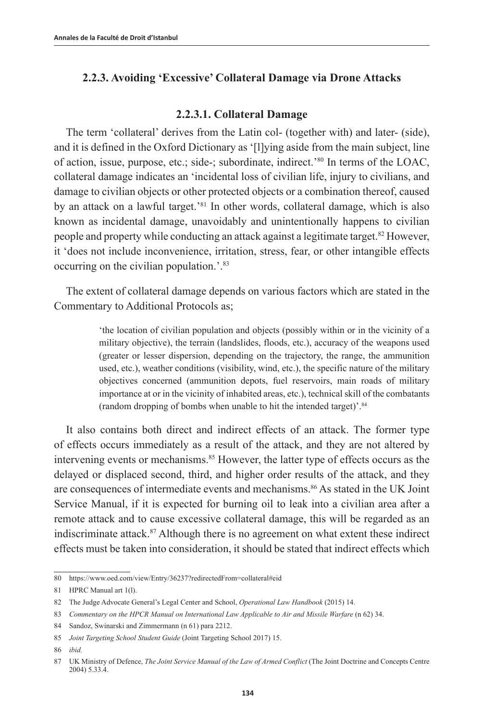## **2.2.3. Avoiding 'Excessive' Collateral Damage via Drone Attacks**

#### **2.2.3.1. Collateral Damage**

The term 'collateral' derives from the Latin col- (together with) and later- (side), and it is defined in the Oxford Dictionary as '[l]ying aside from the main subject, line of action, issue, purpose, etc.; side-; subordinate, indirect.'80 In terms of the LOAC, collateral damage indicates an 'incidental loss of civilian life, injury to civilians, and damage to civilian objects or other protected objects or a combination thereof, caused by an attack on a lawful target.'<sup>81</sup> In other words, collateral damage, which is also known as incidental damage, unavoidably and unintentionally happens to civilian people and property while conducting an attack against a legitimate target.<sup>82</sup> However, it 'does not include inconvenience, irritation, stress, fear, or other intangible effects occurring on the civilian population.'.83

The extent of collateral damage depends on various factors which are stated in the Commentary to Additional Protocols as;

> 'the location of civilian population and objects (possibly within or in the vicinity of a military objective), the terrain (landslides, floods, etc.), accuracy of the weapons used (greater or lesser dispersion, depending on the trajectory, the range, the ammunition used, etc.), weather conditions (visibility, wind, etc.), the specific nature of the military objectives concerned (ammunition depots, fuel reservoirs, main roads of military importance at or in the vicinity of inhabited areas, etc.), technical skill of the combatants (random dropping of bombs when unable to hit the intended target)'.84

It also contains both direct and indirect effects of an attack. The former type of effects occurs immediately as a result of the attack, and they are not altered by intervening events or mechanisms.<sup>85</sup> However, the latter type of effects occurs as the delayed or displaced second, third, and higher order results of the attack, and they are consequences of intermediate events and mechanisms.<sup>86</sup> As stated in the UK Joint Service Manual, if it is expected for burning oil to leak into a civilian area after a remote attack and to cause excessive collateral damage, this will be regarded as an indiscriminate attack.87 Although there is no agreement on what extent these indirect effects must be taken into consideration, it should be stated that indirect effects which

<sup>80</sup> https://www.oed.com/view/Entry/36237?redirectedFrom=collateral#eid

<sup>81</sup> HPRC Manual art 1(l).

<sup>82</sup> The Judge Advocate General's Legal Center and School, *Operational Law Handbook* (2015) 14.

<sup>83</sup> *Commentary on the HPCR Manual on International Law Applicable to Air and Missile Warfare* (n 62) 34.

<sup>84</sup> Sandoz, Swinarski and Zimmermann (n 61) para 2212.

<sup>85</sup> *Joint Targeting School Student Guide* (Joint Targeting School 2017) 15.

<sup>86</sup> *ibid.*

<sup>87</sup> UK Ministry of Defence, *The Joint Service Manual of the Law of Armed Conflict* (The Joint Doctrine and Concepts Centre 2004) 5.33.4.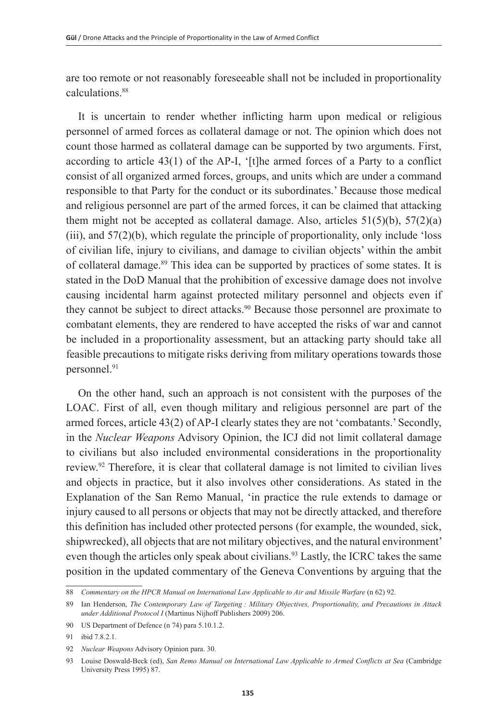are too remote or not reasonably foreseeable shall not be included in proportionality calculations<sup>88</sup>

It is uncertain to render whether inflicting harm upon medical or religious personnel of armed forces as collateral damage or not. The opinion which does not count those harmed as collateral damage can be supported by two arguments. First, according to article  $43(1)$  of the AP-I, '[t]he armed forces of a Party to a conflict consist of all organized armed forces, groups, and units which are under a command responsible to that Party for the conduct or its subordinates.' Because those medical and religious personnel are part of the armed forces, it can be claimed that attacking them might not be accepted as collateral damage. Also, articles  $51(5)(b)$ ,  $57(2)(a)$ (iii), and 57(2)(b), which regulate the principle of proportionality, only include 'loss of civilian life, injury to civilians, and damage to civilian objects' within the ambit of collateral damage.89 This idea can be supported by practices of some states. It is stated in the DoD Manual that the prohibition of excessive damage does not involve causing incidental harm against protected military personnel and objects even if they cannot be subject to direct attacks.<sup>90</sup> Because those personnel are proximate to combatant elements, they are rendered to have accepted the risks of war and cannot be included in a proportionality assessment, but an attacking party should take all feasible precautions to mitigate risks deriving from military operations towards those personnel.<sup>91</sup>

On the other hand, such an approach is not consistent with the purposes of the LOAC. First of all, even though military and religious personnel are part of the armed forces, article 43(2) of AP-I clearly states they are not 'combatants.' Secondly, in the *Nuclear Weapons* Advisory Opinion, the ICJ did not limit collateral damage to civilians but also included environmental considerations in the proportionality review.92 Therefore, it is clear that collateral damage is not limited to civilian lives and objects in practice, but it also involves other considerations. As stated in the Explanation of the San Remo Manual, 'in practice the rule extends to damage or injury caused to all persons or objects that may not be directly attacked, and therefore this definition has included other protected persons (for example, the wounded, sick, shipwrecked), all objects that are not military objectives, and the natural environment' even though the articles only speak about civilians.<sup>93</sup> Lastly, the ICRC takes the same position in the updated commentary of the Geneva Conventions by arguing that the

<sup>88</sup> *Commentary on the HPCR Manual on International Law Applicable to Air and Missile Warfare* (n 62) 92.

<sup>89</sup> Ian Henderson, *The Contemporary Law of Targeting : Military Objectives, Proportionality, and Precautions in Attack under Additional Protocol I* (Martinus Nijhoff Publishers 2009) 206.

<sup>90</sup> US Department of Defence (n 74) para 5.10.1.2.

<sup>91</sup> ibid 7.8.2.1.

<sup>92</sup> *Nuclear Weapons* Advisory Opinion para. 30.

<sup>93</sup> Louise Doswald-Beck (ed), *San Remo Manual on International Law Applicable to Armed Conflicts at Sea* (Cambridge University Press 1995) 87.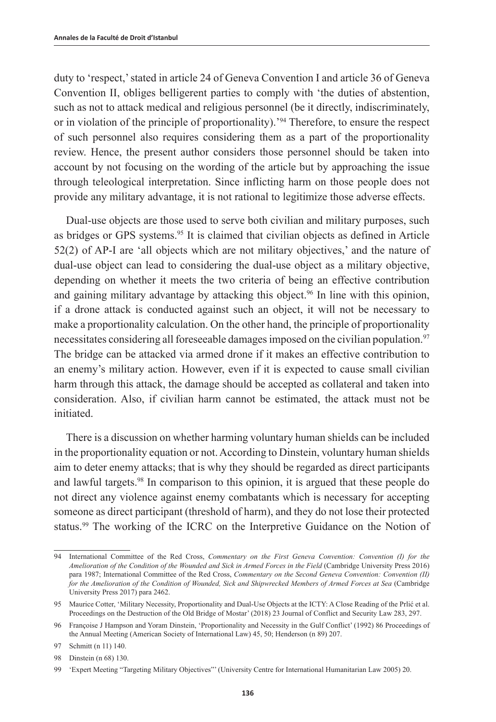duty to 'respect,' stated in article 24 of Geneva Convention I and article 36 of Geneva Convention II, obliges belligerent parties to comply with 'the duties of abstention, such as not to attack medical and religious personnel (be it directly, indiscriminately, or in violation of the principle of proportionality).'94 Therefore, to ensure the respect of such personnel also requires considering them as a part of the proportionality review. Hence, the present author considers those personnel should be taken into account by not focusing on the wording of the article but by approaching the issue through teleological interpretation. Since inflicting harm on those people does not provide any military advantage, it is not rational to legitimize those adverse effects.

Dual-use objects are those used to serve both civilian and military purposes, such as bridges or GPS systems.<sup>95</sup> It is claimed that civilian objects as defined in Article 52(2) of AP-I are 'all objects which are not military objectives,' and the nature of dual-use object can lead to considering the dual-use object as a military objective, depending on whether it meets the two criteria of being an effective contribution and gaining military advantage by attacking this object.<sup>96</sup> In line with this opinion, if a drone attack is conducted against such an object, it will not be necessary to make a proportionality calculation. On the other hand, the principle of proportionality necessitates considering all foreseeable damages imposed on the civilian population.<sup>97</sup> The bridge can be attacked via armed drone if it makes an effective contribution to an enemy's military action. However, even if it is expected to cause small civilian harm through this attack, the damage should be accepted as collateral and taken into consideration. Also, if civilian harm cannot be estimated, the attack must not be initiated.

There is a discussion on whether harming voluntary human shields can be included in the proportionality equation or not. According to Dinstein, voluntary human shields aim to deter enemy attacks; that is why they should be regarded as direct participants and lawful targets.98 In comparison to this opinion, it is argued that these people do not direct any violence against enemy combatants which is necessary for accepting someone as direct participant (threshold of harm), and they do not lose their protected status.99 The working of the ICRC on the Interpretive Guidance on the Notion of

<sup>94</sup> International Committee of the Red Cross, *Commentary on the First Geneva Convention: Convention (I) for the Amelioration of the Condition of the Wounded and Sick in Armed Forces in the Field* (Cambridge University Press 2016) para 1987; International Committee of the Red Cross, *Commentary on the Second Geneva Convention: Convention (II) for the Amelioration of the Condition of Wounded, Sick and Shipwrecked Members of Armed Forces at Sea* (Cambridge University Press 2017) para 2462.

<sup>95</sup> Maurice Cotter, 'Military Necessity, Proportionality and Dual-Use Objects at the ICTY: A Close Reading of the Prlić et al. Proceedings on the Destruction of the Old Bridge of Mostar' (2018) 23 Journal of Conflict and Security Law 283, 297.

<sup>96</sup> Françoise J Hampson and Yoram Dinstein, 'Proportionality and Necessity in the Gulf Conflict' (1992) 86 Proceedings of the Annual Meeting (American Society of International Law) 45, 50; Henderson (n 89) 207.

<sup>97</sup> Schmitt (n 11) 140.

<sup>98</sup> Dinstein (n 68) 130.

<sup>99</sup> 'Expert Meeting "Targeting Military Objectives"' (University Centre for International Humanitarian Law 2005) 20.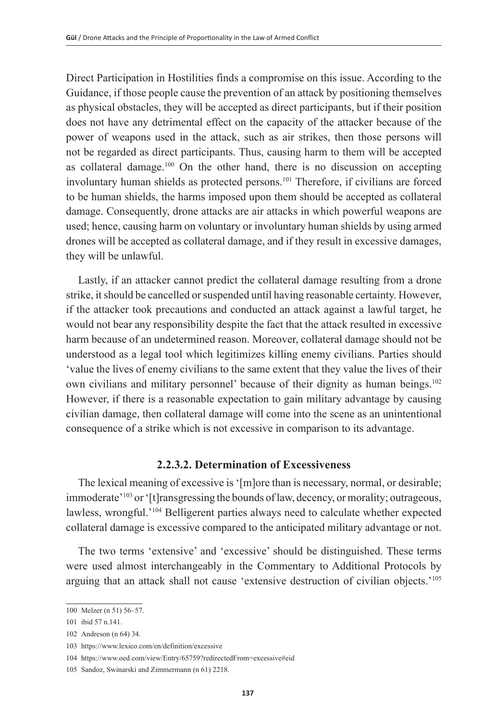Direct Participation in Hostilities finds a compromise on this issue. According to the Guidance, if those people cause the prevention of an attack by positioning themselves as physical obstacles, they will be accepted as direct participants, but if their position does not have any detrimental effect on the capacity of the attacker because of the power of weapons used in the attack, such as air strikes, then those persons will not be regarded as direct participants. Thus, causing harm to them will be accepted as collateral damage. $100$  On the other hand, there is no discussion on accepting involuntary human shields as protected persons.101 Therefore, if civilians are forced to be human shields, the harms imposed upon them should be accepted as collateral damage. Consequently, drone attacks are air attacks in which powerful weapons are used; hence, causing harm on voluntary or involuntary human shields by using armed drones will be accepted as collateral damage, and if they result in excessive damages, they will be unlawful.

Lastly, if an attacker cannot predict the collateral damage resulting from a drone strike, it should be cancelled or suspended until having reasonable certainty. However, if the attacker took precautions and conducted an attack against a lawful target, he would not bear any responsibility despite the fact that the attack resulted in excessive harm because of an undetermined reason. Moreover, collateral damage should not be understood as a legal tool which legitimizes killing enemy civilians. Parties should 'value the lives of enemy civilians to the same extent that they value the lives of their own civilians and military personnel' because of their dignity as human beings.102 However, if there is a reasonable expectation to gain military advantage by causing civilian damage, then collateral damage will come into the scene as an unintentional consequence of a strike which is not excessive in comparison to its advantage.

## **2.2.3.2. Determination of Excessiveness**

The lexical meaning of excessive is '[m]ore than is necessary, normal, or desirable; immoderate'<sup>103</sup> or '[t]ransgressing the bounds of law, decency, or morality; outrageous, lawless, wrongful.'104 Belligerent parties always need to calculate whether expected collateral damage is excessive compared to the anticipated military advantage or not.

The two terms 'extensive' and 'excessive' should be distinguished. These terms were used almost interchangeably in the Commentary to Additional Protocols by arguing that an attack shall not cause 'extensive destruction of civilian objects.'105

<sup>100</sup> Melzer (n 51) 56–57.

<sup>101</sup> ibid 57 n.141.

<sup>102</sup> Andreson (n 64) 34.

<sup>103</sup> <https://www.lexico.com/en/definition/excessive>

<sup>104</sup> https://www.oed.com/view/Entry/65759?redirectedFrom=excessive#eid

<sup>105</sup> Sandoz, Swinarski and Zimmermann (n 61) 2218.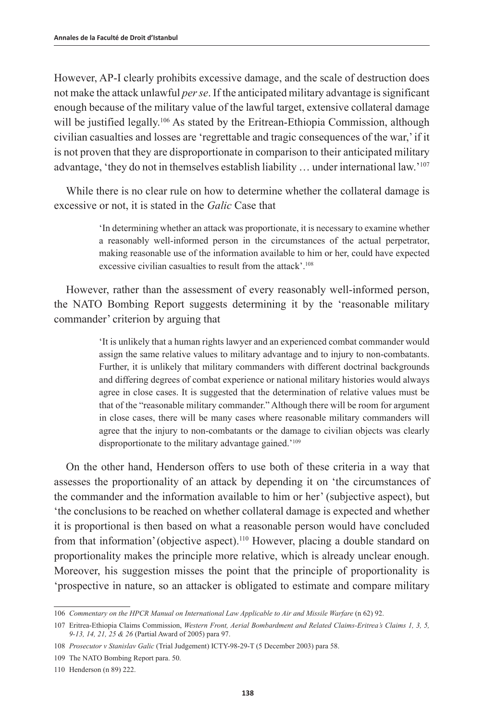However, AP-I clearly prohibits excessive damage, and the scale of destruction does not make the attack unlawful *per se*. If the anticipated military advantage is significant enough because of the military value of the lawful target, extensive collateral damage will be justified legally.<sup>106</sup> As stated by the Eritrean-Ethiopia Commission, although civilian casualties and losses are 'regrettable and tragic consequences of the war,' if it is not proven that they are disproportionate in comparison to their anticipated military advantage, 'they do not in themselves establish liability … under international law.'107

While there is no clear rule on how to determine whether the collateral damage is excessive or not, it is stated in the *Galic* Case that

> 'In determining whether an attack was proportionate, it is necessary to examine whether a reasonably well-informed person in the circumstances of the actual perpetrator, making reasonable use of the information available to him or her, could have expected excessive civilian casualties to result from the attack'.<sup>108</sup>

However, rather than the assessment of every reasonably well-informed person, the NATO Bombing Report suggests determining it by the 'reasonable military commander' criterion by arguing that

> 'It is unlikely that a human rights lawyer and an experienced combat commander would assign the same relative values to military advantage and to injury to non-combatants. Further, it is unlikely that military commanders with different doctrinal backgrounds and differing degrees of combat experience or national military histories would always agree in close cases. It is suggested that the determination of relative values must be that of the "reasonable military commander." Although there will be room for argument in close cases, there will be many cases where reasonable military commanders will agree that the injury to non-combatants or the damage to civilian objects was clearly disproportionate to the military advantage gained.'109

On the other hand, Henderson offers to use both of these criteria in a way that assesses the proportionality of an attack by depending it on 'the circumstances of the commander and the information available to him or her' (subjective aspect), but 'the conclusions to be reached on whether collateral damage is expected and whether it is proportional is then based on what a reasonable person would have concluded from that information' (objective aspect).<sup>110</sup> However, placing a double standard on proportionality makes the principle more relative, which is already unclear enough. Moreover, his suggestion misses the point that the principle of proportionality is 'prospective in nature, so an attacker is obligated to estimate and compare military

<sup>106</sup> *Commentary on the HPCR Manual on International Law Applicable to Air and Missile Warfare* (n 62) 92.

<sup>107</sup> Eritrea-Ethiopia Claims Commission, *Western Front, Aerial Bombardment and Related Claims-Eritrea's Claims 1, 3, 5, 9-13, 14, 21, 25 & 26* (Partial Award of 2005) para 97.

<sup>108</sup> *Prosecutor v Stanislav Galic* (Trial Judgement) ICTY-98-29-T (5 December 2003) para 58.

<sup>109</sup> The NATO Bombing Report para. 50.

<sup>110</sup> Henderson (n 89) 222.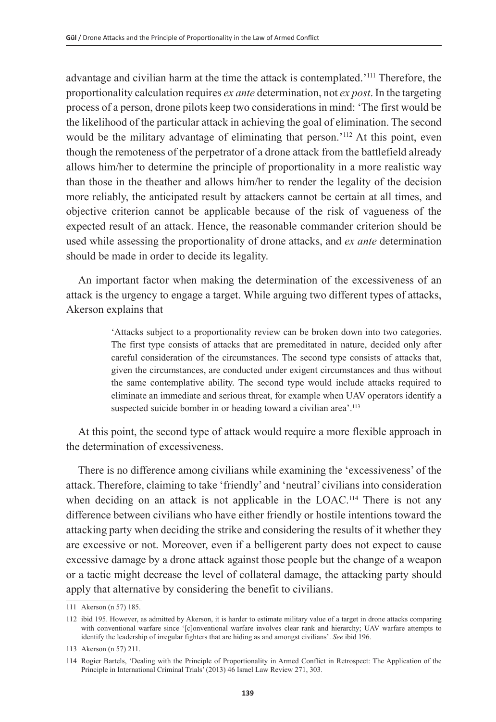advantage and civilian harm at the time the attack is contemplated.'111 Therefore, the proportionality calculation requires *ex ante* determination, not *ex post*. In the targeting process of a person, drone pilots keep two considerations in mind: 'The first would be the likelihood of the particular attack in achieving the goal of elimination. The second would be the military advantage of eliminating that person.'112 At this point, even though the remoteness of the perpetrator of a drone attack from the battlefield already allows him/her to determine the principle of proportionality in a more realistic way than those in the theather and allows him/her to render the legality of the decision more reliably, the anticipated result by attackers cannot be certain at all times, and objective criterion cannot be applicable because of the risk of vagueness of the expected result of an attack. Hence, the reasonable commander criterion should be used while assessing the proportionality of drone attacks, and *ex ante* determination should be made in order to decide its legality.

An important factor when making the determination of the excessiveness of an attack is the urgency to engage a target. While arguing two different types of attacks, Akerson explains that

> 'Attacks subject to a proportionality review can be broken down into two categories. The first type consists of attacks that are premeditated in nature, decided only after careful consideration of the circumstances. The second type consists of attacks that, given the circumstances, are conducted under exigent circumstances and thus without the same contemplative ability. The second type would include attacks required to eliminate an immediate and serious threat, for example when UAV operators identify a suspected suicide bomber in or heading toward a civilian area'.<sup>113</sup>

At this point, the second type of attack would require a more flexible approach in the determination of excessiveness.

There is no difference among civilians while examining the 'excessiveness' of the attack. Therefore, claiming to take 'friendly' and 'neutral' civilians into consideration when deciding on an attack is not applicable in the LOAC.<sup>114</sup> There is not any difference between civilians who have either friendly or hostile intentions toward the attacking party when deciding the strike and considering the results of it whether they are excessive or not. Moreover, even if a belligerent party does not expect to cause excessive damage by a drone attack against those people but the change of a weapon or a tactic might decrease the level of collateral damage, the attacking party should apply that alternative by considering the benefit to civilians.

<sup>111</sup> Akerson (n 57) 185.

<sup>112</sup> ibid 195. However, as admitted by Akerson, it is harder to estimate military value of a target in drone attacks comparing with conventional warfare since '[c]onventional warfare involves clear rank and hierarchy; UAV warfare attempts to identify the leadership of irregular fighters that are hiding as and amongst civilians'. *See* ibid 196.

<sup>113</sup> Akerson (n 57) 211.

<sup>114</sup> Rogier Bartels, 'Dealing with the Principle of Proportionality in Armed Conflict in Retrospect: The Application of the Principle in International Criminal Trials' (2013) 46 Israel Law Review 271, 303.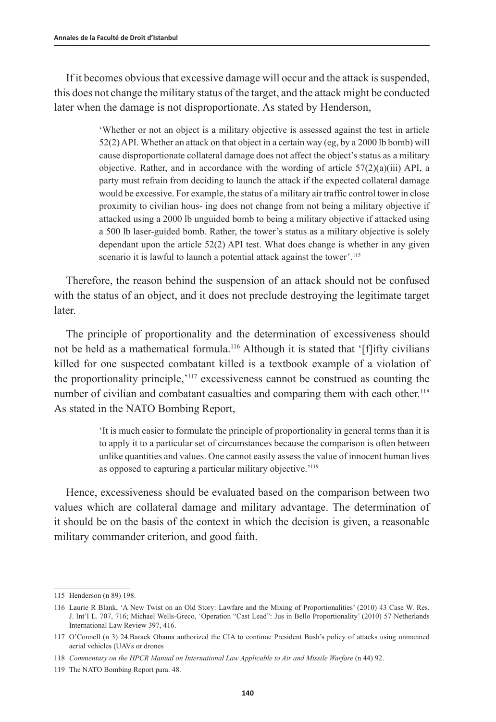If it becomes obvious that excessive damage will occur and the attack is suspended, this does not change the military status of the target, and the attack might be conducted later when the damage is not disproportionate. As stated by Henderson,

> 'Whether or not an object is a military objective is assessed against the test in article 52(2) API. Whether an attack on that object in a certain way (eg, by a 2000 lb bomb) will cause disproportionate collateral damage does not affect the object's status as a military objective. Rather, and in accordance with the wording of article  $57(2)(a)(iii)$  API, a party must refrain from deciding to launch the attack if the expected collateral damage would be excessive. For example, the status of a military air traffic control tower in close proximity to civilian hous- ing does not change from not being a military objective if attacked using a 2000 lb unguided bomb to being a military objective if attacked using a 500 lb laser-guided bomb. Rather, the tower's status as a military objective is solely dependant upon the article 52(2) API test. What does change is whether in any given scenario it is lawful to launch a potential attack against the tower'.<sup>115</sup>

Therefore, the reason behind the suspension of an attack should not be confused with the status of an object, and it does not preclude destroying the legitimate target later.

The principle of proportionality and the determination of excessiveness should not be held as a mathematical formula.116 Although it is stated that '[f]ifty civilians killed for one suspected combatant killed is a textbook example of a violation of the proportionality principle,'117 excessiveness cannot be construed as counting the number of civilian and combatant casualties and comparing them with each other.<sup>118</sup> As stated in the NATO Bombing Report,

> 'It is much easier to formulate the principle of proportionality in general terms than it is to apply it to a particular set of circumstances because the comparison is often between unlike quantities and values. One cannot easily assess the value of innocent human lives as opposed to capturing a particular military objective.'<sup>119</sup>

Hence, excessiveness should be evaluated based on the comparison between two values which are collateral damage and military advantage. The determination of it should be on the basis of the context in which the decision is given, a reasonable military commander criterion, and good faith.

<sup>115</sup> Henderson (n 89) 198.

<sup>116</sup> Laurie R Blank, 'A New Twist on an Old Story: Lawfare and the Mixing of Proportionalities' (2010) 43 Case W. Res. J. Int'l L. 707, 716; Michael Wells-Greco, 'Operation "Cast Lead": Jus in Bello Proportionality' (2010) 57 Netherlands International Law Review 397, 416.

<sup>117</sup> O'Connell (n 3) 24.Barack Obama authorized the CIA to continue President Bush's policy of attacks using unmanned aerial vehicles (UAVs or drones

<sup>118</sup> *Commentary on the HPCR Manual on International Law Applicable to Air and Missile Warfare* (n 44) 92.

<sup>119</sup> The NATO Bombing Report para. 48.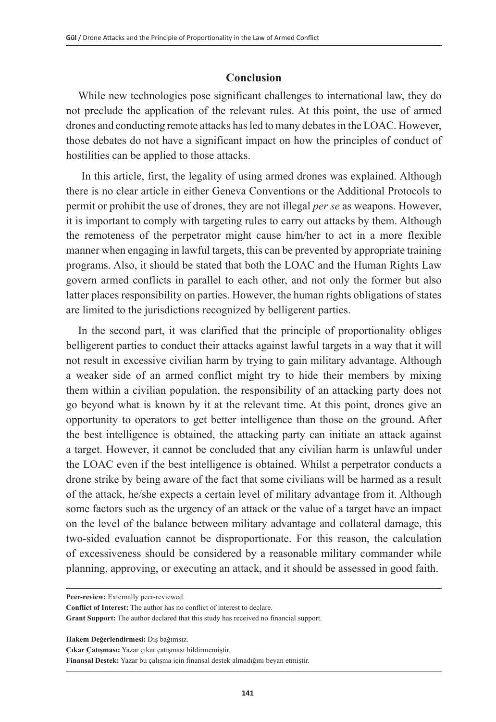## **Conclusion**

While new technologies pose significant challenges to international law, they do not preclude the application of the relevant rules. At this point, the use of armed drones and conducting remote attacks has led to many debates in the LOAC. However, those debates do not have a significant impact on how the principles of conduct of hostilities can be applied to those attacks.

 In this article, first, the legality of using armed drones was explained. Although there is no clear article in either Geneva Conventions or the Additional Protocols to permit or prohibit the use of drones, they are not illegal *per se* as weapons. However, it is important to comply with targeting rules to carry out attacks by them. Although the remoteness of the perpetrator might cause him/her to act in a more flexible manner when engaging in lawful targets, this can be prevented by appropriate training programs. Also, it should be stated that both the LOAC and the Human Rights Law govern armed conflicts in parallel to each other, and not only the former but also latter places responsibility on parties. However, the human rights obligations of states are limited to the jurisdictions recognized by belligerent parties.

In the second part, it was clarified that the principle of proportionality obliges belligerent parties to conduct their attacks against lawful targets in a way that it will not result in excessive civilian harm by trying to gain military advantage. Although a weaker side of an armed conflict might try to hide their members by mixing them within a civilian population, the responsibility of an attacking party does not go beyond what is known by it at the relevant time. At this point, drones give an opportunity to operators to get better intelligence than those on the ground. After the best intelligence is obtained, the attacking party can initiate an attack against a target. However, it cannot be concluded that any civilian harm is unlawful under the LOAC even if the best intelligence is obtained. Whilst a perpetrator conducts a drone strike by being aware of the fact that some civilians will be harmed as a result of the attack, he/she expects a certain level of military advantage from it. Although some factors such as the urgency of an attack or the value of a target have an impact on the level of the balance between military advantage and collateral damage, this two-sided evaluation cannot be disproportionate. For this reason, the calculation of excessiveness should be considered by a reasonable military commander while planning, approving, or executing an attack, and it should be assessed in good faith.

**Hakem Değerlendirmesi:** Dış bağımsız.

**Peer-review:** Externally peer-reviewed.

**Conflict of Interest:** The author has no conflict of interest to declare.

**Grant Support:** The author declared that this study has received no financial support.

**Çıkar Çatışması:** Yazar çıkar çatışması bildirmemiştir.

**Finansal Destek:** Yazar bu çalışma için finansal destek almadığını beyan etmiştir.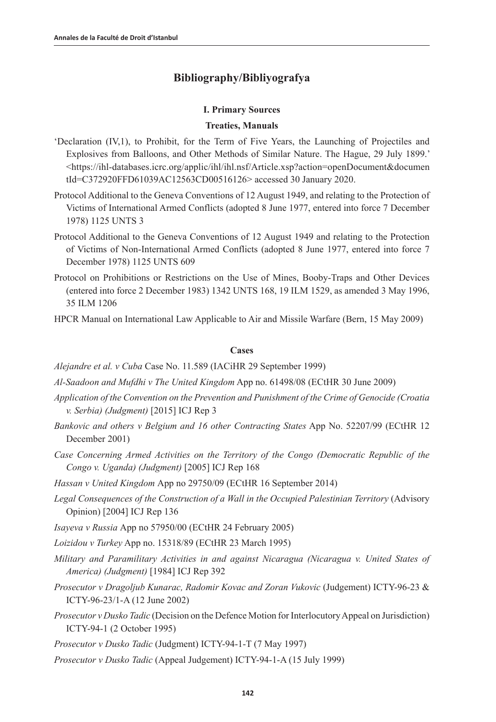## **Bibliography/Bibliyografya**

#### **I. Primary Sources**

#### **Treaties, Manuals**

- 'Declaration (IV,1), to Prohibit, for the Term of Five Years, the Launching of Projectiles and Explosives from Balloons, and Other Methods of Similar Nature. The Hague, 29 July 1899.' <https://ihl-databases.icrc.org/applic/ihl/ihl.nsf/Article.xsp?action=openDocument&documen tId=C372920FFD61039AC12563CD00516126> accessed 30 January 2020.
- Protocol Additional to the Geneva Conventions of 12 August 1949, and relating to the Protection of Victims of International Armed Conflicts (adopted 8 June 1977, entered into force 7 December 1978) 1125 UNTS 3
- Protocol Additional to the Geneva Conventions of 12 August 1949 and relating to the Protection of Victims of Non-International Armed Conflicts (adopted 8 June 1977, entered into force 7 December 1978) 1125 UNTS 609
- Protocol on Prohibitions or Restrictions on the Use of Mines, Booby-Traps and Other Devices (entered into force 2 December 1983) 1342 UNTS 168, 19 ILM 1529, as amended 3 May 1996, 35 ILM 1206
- HPCR Manual on International Law Applicable to Air and Missile Warfare (Bern, 15 May 2009)

#### **Cases**

*Alejandre et al. v Cuba* Case No. 11.589 (IACiHR 29 September 1999)

*Al-Saadoon and Mufdhi v The United Kingdom* App no. 61498/08 (ECtHR 30 June 2009)

- *Application of the Convention on the Prevention and Punishment of the Crime of Genocide (Croatia v. Serbia) (Judgment)* [2015] ICJ Rep 3
- *Bankovic and others v Belgium and 16 other Contracting States* App No. 52207/99 (ECtHR 12 December 2001)
- *Case Concerning Armed Activities on the Territory of the Congo (Democratic Republic of the Congo v. Uganda) (Judgment)* [2005] ICJ Rep 168
- *Hassan v United Kingdom* App no 29750/09 (ECtHR 16 September 2014)
- *Legal Consequences of the Construction of a Wall in the Occupied Palestinian Territory* (Advisory Opinion) [2004] ICJ Rep 136
- *Isayeva v Russia* App no 57950/00 (ECtHR 24 February 2005)
- *Loizidou v Turkey* App no. 15318/89 (ECtHR 23 March 1995)
- *Military and Paramilitary Activities in and against Nicaragua (Nicaragua v. United States of America) (Judgment)* [1984] ICJ Rep 392
- *Prosecutor v Dragoljub Kunarac, Radomir Kovac and Zoran Vukovic* (Judgement) ICTY-96-23 & ICTY-96-23/1-A (12 June 2002)
- *Prosecutor v Dusko Tadic* (Decision on the Defence Motion for Interlocutory Appeal on Jurisdiction) ICTY-94-1 (2 October 1995)

*Prosecutor v Dusko Tadic* (Judgment) ICTY-94-1-T (7 May 1997)

*Prosecutor v Dusko Tadic* (Appeal Judgement) ICTY-94-1-A (15 July 1999)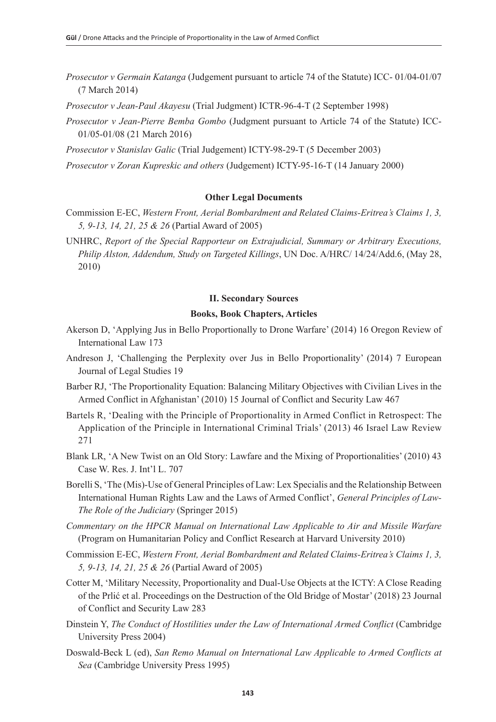- *Prosecutor v Germain Katanga* (Judgement pursuant to article 74 of the Statute) ICC- 01/04-01/07 (7 March 2014)
- *Prosecutor v Jean-Paul Akayesu* (Trial Judgment) ICTR-96-4-T (2 September 1998)
- *Prosecutor v Jean-Pierre Bemba Gombo* (Judgment pursuant to Article 74 of the Statute) ICC-01/05-01/08 (21 March 2016)
- *Prosecutor v Stanislav Galic* (Trial Judgement) ICTY-98-29-T (5 December 2003)
- *Prosecutor v Zoran Kupreskic and others* (Judgement) ICTY-95-16-T (14 January 2000)

#### **Other Legal Documents**

- Commission E-EC, *Western Front, Aerial Bombardment and Related Claims-Eritrea's Claims 1, 3, 5, 9-13, 14, 21, 25 & 26* (Partial Award of 2005)
- UNHRC, *Report of the Special Rapporteur on Extrajudicial, Summary or Arbitrary Executions, Philip Alston, Addendum, Study on Targeted Killings*, UN Doc. A/HRC/ 14/24/Add.6, (May 28, 2010)

#### **II. Secondary Sources**

#### **Books, Book Chapters, Articles**

- Akerson D, 'Applying Jus in Bello Proportionally to Drone Warfare' (2014) 16 Oregon Review of International Law 173
- Andreson J, 'Challenging the Perplexity over Jus in Bello Proportionality' (2014) 7 European Journal of Legal Studies 19
- Barber RJ, 'The Proportionality Equation: Balancing Military Objectives with Civilian Lives in the Armed Conflict in Afghanistan' (2010) 15 Journal of Conflict and Security Law 467
- Bartels R, 'Dealing with the Principle of Proportionality in Armed Conflict in Retrospect: The Application of the Principle in International Criminal Trials' (2013) 46 Israel Law Review 271
- Blank LR, 'A New Twist on an Old Story: Lawfare and the Mixing of Proportionalities' (2010) 43 Case W. Res. J. Int'l L. 707
- Borelli S, 'The (Mis)-Use of General Principles of Law: Lex Specialis and the Relationship Between International Human Rights Law and the Laws of Armed Conflict', *General Principles of Law-The Role of the Judiciary* (Springer 2015)
- *Commentary on the HPCR Manual on International Law Applicable to Air and Missile Warfare* (Program on Humanitarian Policy and Conflict Research at Harvard University 2010)
- Commission E-EC, *Western Front, Aerial Bombardment and Related Claims-Eritrea's Claims 1, 3, 5, 9-13, 14, 21, 25 & 26* (Partial Award of 2005)
- Cotter M, 'Military Necessity, Proportionality and Dual-Use Objects at the ICTY: A Close Reading of the Prlić et al. Proceedings on the Destruction of the Old Bridge of Mostar' (2018) 23 Journal of Conflict and Security Law 283
- Dinstein Y, *The Conduct of Hostilities under the Law of International Armed Conflict* (Cambridge University Press 2004)
- Doswald-Beck L (ed), *San Remo Manual on International Law Applicable to Armed Conflicts at Sea* (Cambridge University Press 1995)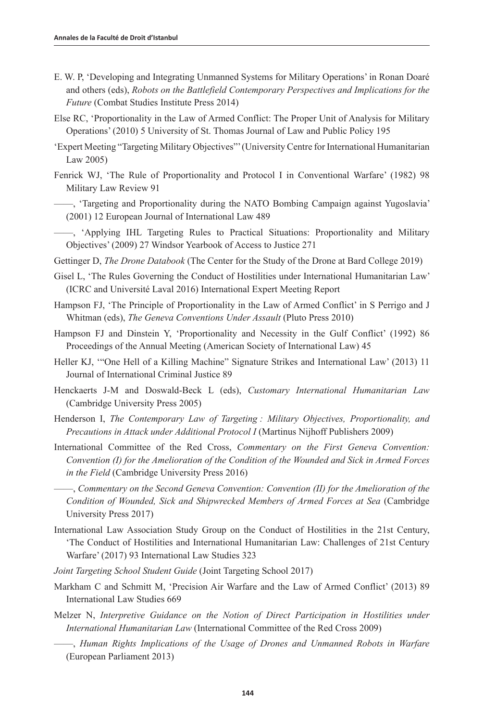- E. W. P, 'Developing and Integrating Unmanned Systems for Military Operations' in Ronan Doaré and others (eds), *Robots on the Battlefield Contemporary Perspectives and Implications for the Future* (Combat Studies Institute Press 2014)
- Else RC, 'Proportionality in the Law of Armed Conflict: The Proper Unit of Analysis for Military Operations' (2010) 5 University of St. Thomas Journal of Law and Public Policy 195
- 'Expert Meeting "Targeting Military Objectives"' (University Centre for International Humanitarian Law 2005)
- Fenrick WJ, 'The Rule of Proportionality and Protocol I in Conventional Warfare' (1982) 98 Military Law Review 91
- ——, 'Targeting and Proportionality during the NATO Bombing Campaign against Yugoslavia' (2001) 12 European Journal of International Law 489

——, 'Applying IHL Targeting Rules to Practical Situations: Proportionality and Military Objectives' (2009) 27 Windsor Yearbook of Access to Justice 271

- Gettinger D, *The Drone Databook* (The Center for the Study of the Drone at Bard College 2019)
- Gisel L, 'The Rules Governing the Conduct of Hostilities under International Humanitarian Law' (ICRC and Université Laval 2016) International Expert Meeting Report
- Hampson FJ, 'The Principle of Proportionality in the Law of Armed Conflict' in S Perrigo and J Whitman (eds), *The Geneva Conventions Under Assault* (Pluto Press 2010)
- Hampson FJ and Dinstein Y, 'Proportionality and Necessity in the Gulf Conflict' (1992) 86 Proceedings of the Annual Meeting (American Society of International Law) 45
- Heller KJ, '"One Hell of a Killing Machine" Signature Strikes and International Law' (2013) 11 Journal of International Criminal Justice 89
- Henckaerts J-M and Doswald-Beck L (eds), *Customary International Humanitarian Law* (Cambridge University Press 2005)
- Henderson I, *The Contemporary Law of Targeting : Military Objectives, Proportionality, and Precautions in Attack under Additional Protocol I* (Martinus Nijhoff Publishers 2009)
- International Committee of the Red Cross, *Commentary on the First Geneva Convention: Convention (I) for the Amelioration of the Condition of the Wounded and Sick in Armed Forces in the Field* (Cambridge University Press 2016)
- ——, *Commentary on the Second Geneva Convention: Convention (II) for the Amelioration of the Condition of Wounded, Sick and Shipwrecked Members of Armed Forces at Sea* (Cambridge University Press 2017)
- International Law Association Study Group on the Conduct of Hostilities in the 21st Century, 'The Conduct of Hostilities and International Humanitarian Law: Challenges of 21st Century Warfare' (2017) 93 International Law Studies 323
- *Joint Targeting School Student Guide* (Joint Targeting School 2017)
- Markham C and Schmitt M, 'Precision Air Warfare and the Law of Armed Conflict' (2013) 89 International Law Studies 669
- Melzer N, *Interpretive Guidance on the Notion of Direct Participation in Hostilities under International Humanitarian Law* (International Committee of the Red Cross 2009)
	- ——, *Human Rights Implications of the Usage of Drones and Unmanned Robots in Warfare* (European Parliament 2013)